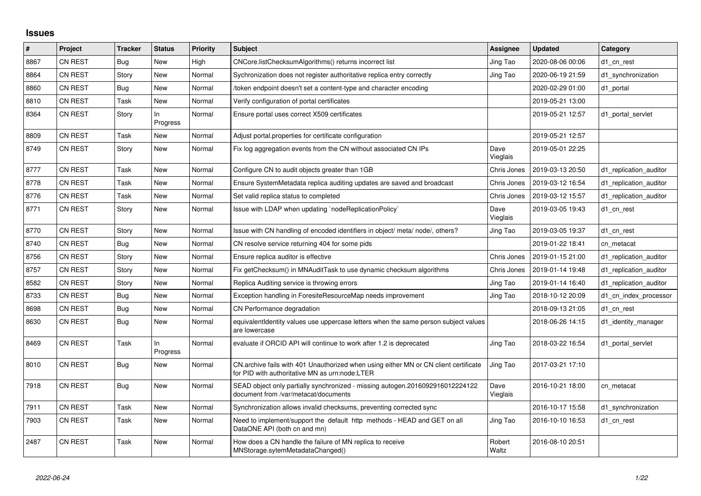## **Issues**

| $\#$ | Project        | <b>Tracker</b> | <b>Status</b>     | <b>Priority</b> | <b>Subject</b>                                                                                                                         | Assignee         | <b>Updated</b>   | Category               |
|------|----------------|----------------|-------------------|-----------------|----------------------------------------------------------------------------------------------------------------------------------------|------------------|------------------|------------------------|
| 8867 | CN REST        | Bug            | <b>New</b>        | High            | CNCore.listChecksumAlgorithms() returns incorrect list                                                                                 | Jing Tao         | 2020-08-06 00:06 | d1_cn_rest             |
| 8864 | CN REST        | Story          | New               | Normal          | Sychronization does not register authoritative replica entry correctly                                                                 | Jing Tao         | 2020-06-19 21:59 | d1_synchronization     |
| 8860 | <b>CN REST</b> | Bug            | <b>New</b>        | Normal          | token endpoint doesn't set a content-type and character encoding                                                                       |                  | 2020-02-29 01:00 | d1 portal              |
| 8810 | CN REST        | Task           | New               | Normal          | Verify configuration of portal certificates                                                                                            |                  | 2019-05-21 13:00 |                        |
| 8364 | <b>CN REST</b> | Story          | In<br>Progress    | Normal          | Ensure portal uses correct X509 certificates                                                                                           |                  | 2019-05-21 12:57 | d1 portal servlet      |
| 8809 | CN REST        | Task           | New               | Normal          | Adjust portal properties for certificate configuration                                                                                 |                  | 2019-05-21 12:57 |                        |
| 8749 | CN REST        | Story          | <b>New</b>        | Normal          | Fix log aggregation events from the CN without associated CN IPs                                                                       | Dave<br>Vieglais | 2019-05-01 22:25 |                        |
| 8777 | CN REST        | Task           | New               | Normal          | Configure CN to audit objects greater than 1GB                                                                                         | Chris Jones      | 2019-03-13 20:50 | d1 replication auditor |
| 8778 | CN REST        | Task           | New               | Normal          | Ensure SystemMetadata replica auditing updates are saved and broadcast                                                                 | Chris Jones      | 2019-03-12 16:54 | d1 replication auditor |
| 8776 | CN REST        | Task           | New               | Normal          | Set valid replica status to completed                                                                                                  | Chris Jones      | 2019-03-12 15:57 | d1 replication auditor |
| 8771 | CN REST        | Story          | New               | Normal          | Issue with LDAP when updating `nodeReplicationPolicy`                                                                                  | Dave<br>Vieglais | 2019-03-05 19:43 | d1_cn_rest             |
| 8770 | CN REST        | Story          | New               | Normal          | Issue with CN handling of encoded identifiers in object/ meta/ node/, others?                                                          | Jing Tao         | 2019-03-05 19:37 | d1 cn rest             |
| 8740 | CN REST        | <b>Bug</b>     | New               | Normal          | CN resolve service returning 404 for some pids                                                                                         |                  | 2019-01-22 18:41 | cn metacat             |
| 8756 | CN REST        | Story          | New               | Normal          | Ensure replica auditor is effective                                                                                                    | Chris Jones      | 2019-01-15 21:00 | d1 replication auditor |
| 8757 | <b>CN REST</b> | Story          | New               | Normal          | Fix getChecksum() in MNAuditTask to use dynamic checksum algorithms                                                                    | Chris Jones      | 2019-01-14 19:48 | d1 replication auditor |
| 8582 | CN REST        | Story          | New               | Normal          | Replica Auditing service is throwing errors                                                                                            | Jing Tao         | 2019-01-14 16:40 | d1_replication_auditor |
| 8733 | CN REST        | Bug            | New               | Normal          | Exception handling in ForesiteResourceMap needs improvement                                                                            | Jing Tao         | 2018-10-12 20:09 | d1 cn index processor  |
| 8698 | <b>CN REST</b> | <b>Bug</b>     | New               | Normal          | CN Performance degradation                                                                                                             |                  | 2018-09-13 21:05 | d1_cn_rest             |
| 8630 | <b>CN REST</b> | <b>Bug</b>     | New               | Normal          | equivalentIdentity values use uppercase letters when the same person subject values<br>are lowercase                                   |                  | 2018-06-26 14:15 | d1_identity_manager    |
| 8469 | <b>CN REST</b> | Task           | $\ln$<br>Progress | Normal          | evaluate if ORCID API will continue to work after 1.2 is deprecated                                                                    | Jing Tao         | 2018-03-22 16:54 | d1_portal_servlet      |
| 8010 | CN REST        | <b>Bug</b>     | New               | Normal          | CN.archive fails with 401 Unauthorized when using either MN or CN client certificate<br>for PID with authoritative MN as urn:node:LTER | Jing Tao         | 2017-03-21 17:10 |                        |
| 7918 | CN REST        | <b>Bug</b>     | New               | Normal          | SEAD object only partially synchronized - missing autogen.2016092916012224122<br>document from /var/metacat/documents                  | Dave<br>Vieglais | 2016-10-21 18:00 | cn_metacat             |
| 7911 | <b>CN REST</b> | Task           | New               | Normal          | Synchronization allows invalid checksums, preventing corrected sync                                                                    |                  | 2016-10-17 15:58 | d1 synchronization     |
| 7903 | <b>CN REST</b> | Task           | New               | Normal          | Need to implement/support the default http methods - HEAD and GET on all<br>DataONE API (both cn and mn)                               | Jing Tao         | 2016-10-10 16:53 | d1_cn_rest             |
| 2487 | CN REST        | Task           | <b>New</b>        | Normal          | How does a CN handle the failure of MN replica to receive<br>MNStorage.sytemMetadataChanged()                                          | Robert<br>Waltz  | 2016-08-10 20:51 |                        |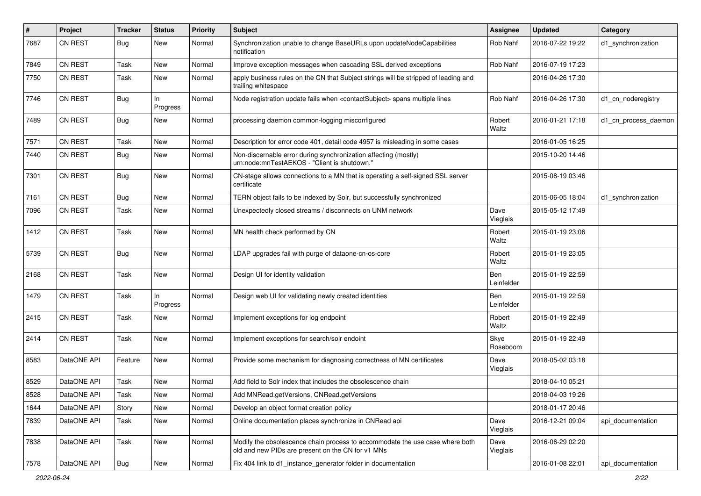| #    | Project        | <b>Tracker</b> | <b>Status</b>   | <b>Priority</b> | Subject                                                                                                                           | <b>Assignee</b>   | <b>Updated</b>   | Category             |
|------|----------------|----------------|-----------------|-----------------|-----------------------------------------------------------------------------------------------------------------------------------|-------------------|------------------|----------------------|
| 7687 | <b>CN REST</b> | <b>Bug</b>     | New             | Normal          | Synchronization unable to change BaseURLs upon updateNodeCapabilities<br>notification                                             | Rob Nahf          | 2016-07-22 19:22 | d1_synchronization   |
| 7849 | <b>CN REST</b> | Task           | New             | Normal          | Improve exception messages when cascading SSL derived exceptions                                                                  | Rob Nahf          | 2016-07-19 17:23 |                      |
| 7750 | <b>CN REST</b> | Task           | New             | Normal          | apply business rules on the CN that Subject strings will be stripped of leading and<br>trailing whitespace                        |                   | 2016-04-26 17:30 |                      |
| 7746 | <b>CN REST</b> | Bug            | In<br>Progress  | Normal          | Node registration update fails when <contactsubject> spans multiple lines</contactsubject>                                        | Rob Nahf          | 2016-04-26 17:30 | d1_cn_noderegistry   |
| 7489 | CN REST        | Bug            | <b>New</b>      | Normal          | processing daemon common-logging misconfigured                                                                                    | Robert<br>Waltz   | 2016-01-21 17:18 | d1_cn_process_daemon |
| 7571 | <b>CN REST</b> | Task           | New             | Normal          | Description for error code 401, detail code 4957 is misleading in some cases                                                      |                   | 2016-01-05 16:25 |                      |
| 7440 | <b>CN REST</b> | <b>Bug</b>     | <b>New</b>      | Normal          | Non-discernable error during synchronization affecting (mostly)<br>urn:node:mnTestAEKOS - "Client is shutdown."                   |                   | 2015-10-20 14:46 |                      |
| 7301 | CN REST        | <b>Bug</b>     | <b>New</b>      | Normal          | CN-stage allows connections to a MN that is operating a self-signed SSL server<br>certificate                                     |                   | 2015-08-19 03:46 |                      |
| 7161 | <b>CN REST</b> | <b>Bug</b>     | <b>New</b>      | Normal          | TERN object fails to be indexed by Solr, but successfully synchronized                                                            |                   | 2015-06-05 18:04 | d1_synchronization   |
| 7096 | CN REST        | Task           | <b>New</b>      | Normal          | Unexpectedly closed streams / disconnects on UNM network                                                                          | Dave<br>Vieglais  | 2015-05-12 17:49 |                      |
| 1412 | <b>CN REST</b> | Task           | New             | Normal          | MN health check performed by CN                                                                                                   | Robert<br>Waltz   | 2015-01-19 23:06 |                      |
| 5739 | <b>CN REST</b> | <b>Bug</b>     | <b>New</b>      | Normal          | LDAP upgrades fail with purge of dataone-cn-os-core                                                                               | Robert<br>Waltz   | 2015-01-19 23:05 |                      |
| 2168 | <b>CN REST</b> | Task           | New             | Normal          | Design UI for identity validation                                                                                                 | Ben<br>Leinfelder | 2015-01-19 22:59 |                      |
| 1479 | CN REST        | Task           | In.<br>Progress | Normal          | Design web UI for validating newly created identities                                                                             | Ben<br>Leinfelder | 2015-01-19 22:59 |                      |
| 2415 | <b>CN REST</b> | Task           | New             | Normal          | Implement exceptions for log endpoint                                                                                             | Robert<br>Waltz   | 2015-01-19 22:49 |                      |
| 2414 | <b>CN REST</b> | Task           | <b>New</b>      | Normal          | Implement exceptions for search/solr endoint                                                                                      | Skye<br>Roseboom  | 2015-01-19 22:49 |                      |
| 8583 | DataONE API    | Feature        | New             | Normal          | Provide some mechanism for diagnosing correctness of MN certificates                                                              | Dave<br>Vieglais  | 2018-05-02 03:18 |                      |
| 8529 | DataONE API    | Task           | New             | Normal          | Add field to Solr index that includes the obsolescence chain                                                                      |                   | 2018-04-10 05:21 |                      |
| 8528 | DataONE API    | Task           | New             | Normal          | Add MNRead.getVersions, CNRead.getVersions                                                                                        |                   | 2018-04-03 19:26 |                      |
| 1644 | DataONE API    | Story          | New             | Normal          | Develop an object format creation policy                                                                                          |                   | 2018-01-17 20:46 |                      |
| 7839 | DataONE API    | Task           | <b>New</b>      | Normal          | Online documentation places synchronize in CNRead api                                                                             | Dave<br>Vieglais  | 2016-12-21 09:04 | api_documentation    |
| 7838 | DataONE API    | Task           | New             | Normal          | Modify the obsolescence chain process to accommodate the use case where both<br>old and new PIDs are present on the CN for v1 MNs | Dave<br>Vieglais  | 2016-06-29 02:20 |                      |
| 7578 | DataONE API    | <b>Bug</b>     | New             | Normal          | Fix 404 link to d1_instance_generator folder in documentation                                                                     |                   | 2016-01-08 22:01 | api_documentation    |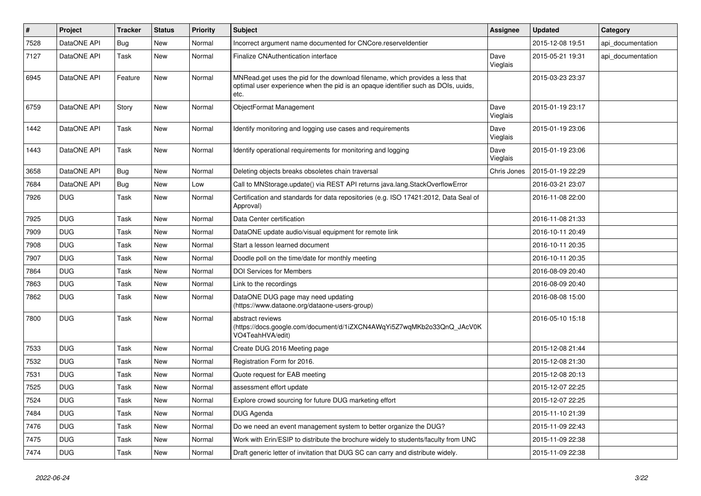| $\sharp$ | Project         | <b>Tracker</b> | <b>Status</b> | <b>Priority</b> | <b>Subject</b>                                                                                                                                                             | <b>Assignee</b>  | <b>Updated</b>   | Category          |
|----------|-----------------|----------------|---------------|-----------------|----------------------------------------------------------------------------------------------------------------------------------------------------------------------------|------------------|------------------|-------------------|
| 7528     | DataONE API     | <b>Bug</b>     | New           | Normal          | Incorrect argument name documented for CNCore.reserveldentier                                                                                                              |                  | 2015-12-08 19:51 | api_documentation |
| 7127     | DataONE API     | Task           | <b>New</b>    | Normal          | Finalize CNAuthentication interface                                                                                                                                        | Dave<br>Vieglais | 2015-05-21 19:31 | api documentation |
| 6945     | DataONE API     | Feature        | New           | Normal          | MNRead.get uses the pid for the download filename, which provides a less that<br>optimal user experience when the pid is an opaque identifier such as DOIs, uuids,<br>etc. |                  | 2015-03-23 23:37 |                   |
| 6759     | DataONE API     | Story          | New           | Normal          | ObjectFormat Management                                                                                                                                                    | Dave<br>Vieglais | 2015-01-19 23:17 |                   |
| 1442     | DataONE API     | Task           | <b>New</b>    | Normal          | Identify monitoring and logging use cases and requirements                                                                                                                 | Dave<br>Vieglais | 2015-01-19 23:06 |                   |
| 1443     | DataONE API     | Task           | New           | Normal          | Identify operational requirements for monitoring and logging                                                                                                               | Dave<br>Vieglais | 2015-01-19 23:06 |                   |
| 3658     | DataONE API     | Bug            | <b>New</b>    | Normal          | Deleting objects breaks obsoletes chain traversal                                                                                                                          | Chris Jones      | 2015-01-19 22:29 |                   |
| 7684     | DataONE API     | <b>Bug</b>     | New           | Low             | Call to MNStorage.update() via REST API returns java.lang.StackOverflowError                                                                                               |                  | 2016-03-21 23:07 |                   |
| 7926     | <b>DUG</b>      | Task           | New           | Normal          | Certification and standards for data repositories (e.g. ISO 17421:2012, Data Seal of<br>Approval)                                                                          |                  | 2016-11-08 22:00 |                   |
| 7925     | <b>DUG</b>      | Task           | <b>New</b>    | Normal          | Data Center certification                                                                                                                                                  |                  | 2016-11-08 21:33 |                   |
| 7909     | <b>DUG</b>      | Task           | New           | Normal          | DataONE update audio/visual equipment for remote link                                                                                                                      |                  | 2016-10-11 20:49 |                   |
| 7908     | <b>DUG</b>      | Task           | New           | Normal          | Start a lesson learned document                                                                                                                                            |                  | 2016-10-11 20:35 |                   |
| 7907     | <b>DUG</b>      | Task           | New           | Normal          | Doodle poll on the time/date for monthly meeting                                                                                                                           |                  | 2016-10-11 20:35 |                   |
| 7864     | <b>DUG</b>      | Task           | <b>New</b>    | Normal          | <b>DOI Services for Members</b>                                                                                                                                            |                  | 2016-08-09 20:40 |                   |
| 7863     | <b>DUG</b>      | Task           | <b>New</b>    | Normal          | Link to the recordings                                                                                                                                                     |                  | 2016-08-09 20:40 |                   |
| 7862     | <b>DUG</b>      | Task           | New           | Normal          | DataONE DUG page may need updating<br>(https://www.dataone.org/dataone-users-group)                                                                                        |                  | 2016-08-08 15:00 |                   |
| 7800     | <b>DUG</b>      | Task           | <b>New</b>    | Normal          | abstract reviews<br>(https://docs.google.com/document/d/1iZXCN4AWqYi5Z7wqMKb2o33QnQ_JAcV0K<br>VO4TeahHVA/edit)                                                             |                  | 2016-05-10 15:18 |                   |
| 7533     | <b>DUG</b>      | Task           | <b>New</b>    | Normal          | Create DUG 2016 Meeting page                                                                                                                                               |                  | 2015-12-08 21:44 |                   |
| 7532     | <b>DUG</b>      | Task           | <b>New</b>    | Normal          | Registration Form for 2016.                                                                                                                                                |                  | 2015-12-08 21:30 |                   |
| 7531     | <b>DUG</b>      | Task           | New           | Normal          | Quote request for EAB meeting                                                                                                                                              |                  | 2015-12-08 20:13 |                   |
| 7525     | <b>DUG</b>      | Task           | New           | Normal          | assessment effort update                                                                                                                                                   |                  | 2015-12-07 22:25 |                   |
| 7524     | DUG <sub></sub> | Task           | New           | Normal          | Explore crowd sourcing for future DUG marketing effort                                                                                                                     |                  | 2015-12-07 22:25 |                   |
| 7484     | <b>DUG</b>      | Task           | New           | Normal          | DUG Agenda                                                                                                                                                                 |                  | 2015-11-10 21:39 |                   |
| 7476     | <b>DUG</b>      | Task           | New           | Normal          | Do we need an event management system to better organize the DUG?                                                                                                          |                  | 2015-11-09 22:43 |                   |
| 7475     | <b>DUG</b>      | Task           | New           | Normal          | Work with Erin/ESIP to distribute the brochure widely to students/faculty from UNC                                                                                         |                  | 2015-11-09 22:38 |                   |
| 7474     | <b>DUG</b>      | Task           | New           | Normal          | Draft generic letter of invitation that DUG SC can carry and distribute widely.                                                                                            |                  | 2015-11-09 22:38 |                   |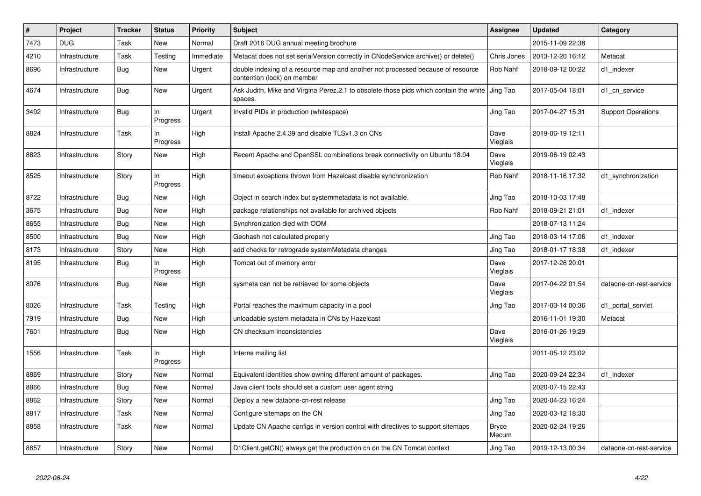| $\vert$ # | Project        | <b>Tracker</b> | <b>Status</b>   | <b>Priority</b> | <b>Subject</b>                                                                                                 | Assignee         | <b>Updated</b>   | Category                  |
|-----------|----------------|----------------|-----------------|-----------------|----------------------------------------------------------------------------------------------------------------|------------------|------------------|---------------------------|
| 7473      | <b>DUG</b>     | Task           | <b>New</b>      | Normal          | Draft 2016 DUG annual meeting brochure                                                                         |                  | 2015-11-09 22:38 |                           |
| 4210      | Infrastructure | Task           | Testing         | Immediate       | Metacat does not set serialVersion correctly in CNodeService archive() or delete()                             | Chris Jones      | 2013-12-20 16:12 | Metacat                   |
| 8696      | Infrastructure | <b>Bug</b>     | New             | Urgent          | double indexing of a resource map and another not processed because of resource<br>contention (lock) on member | Rob Nahf         | 2018-09-12 00:22 | d1 indexer                |
| 4674      | Infrastructure | Bug            | New             | Urgent          | Ask Judith, Mike and Virgina Perez.2.1 to obsolete those pids which contain the white<br>spaces.               | Jing Tao         | 2017-05-04 18:01 | d1 cn service             |
| 3492      | Infrastructure | Bug            | In<br>Progress  | Urgent          | Invalid PIDs in production (whitespace)                                                                        | Jing Tao         | 2017-04-27 15:31 | <b>Support Operations</b> |
| 8824      | Infrastructure | Task           | In<br>Progress  | High            | Install Apache 2.4.39 and disable TLSv1.3 on CNs                                                               | Dave<br>Vieglais | 2019-06-19 12:11 |                           |
| 8823      | Infrastructure | Story          | <b>New</b>      | High            | Recent Apache and OpenSSL combinations break connectivity on Ubuntu 18.04                                      | Dave<br>Vieglais | 2019-06-19 02:43 |                           |
| 8525      | Infrastructure | Story          | In.<br>Progress | High            | timeout exceptions thrown from Hazelcast disable synchronization                                               | <b>Rob Nahf</b>  | 2018-11-16 17:32 | d1_synchronization        |
| 8722      | Infrastructure | <b>Bug</b>     | <b>New</b>      | High            | Object in search index but systemmetadata is not available.                                                    | Jing Tao         | 2018-10-03 17:48 |                           |
| 3675      | Infrastructure | Bug            | <b>New</b>      | High            | package relationships not available for archived objects                                                       | Rob Nahf         | 2018-09-21 21:01 | d1_indexer                |
| 8655      | Infrastructure | <b>Bug</b>     | <b>New</b>      | High            | Synchronization died with OOM                                                                                  |                  | 2018-07-13 11:24 |                           |
| 8500      | Infrastructure | Bug            | <b>New</b>      | High            | Geohash not calculated properly                                                                                | Jing Tao         | 2018-03-14 17:06 | d1 indexer                |
| 8173      | Infrastructure | Story          | <b>New</b>      | High            | add checks for retrograde systemMetadata changes                                                               | Jing Tao         | 2018-01-17 18:38 | d1_indexer                |
| 8195      | Infrastructure | Bug            | ln.<br>Progress | High            | Tomcat out of memory error                                                                                     | Dave<br>Vieglais | 2017-12-26 20:01 |                           |
| 8076      | Infrastructure | Bug            | New             | High            | sysmeta can not be retrieved for some objects                                                                  | Dave<br>Vieglais | 2017-04-22 01:54 | dataone-cn-rest-service   |
| 8026      | Infrastructure | Task           | Testing         | High            | Portal reaches the maximum capacity in a pool                                                                  | Jing Tao         | 2017-03-14 00:36 | d1_portal_servlet         |
| 7919      | Infrastructure | Bug            | New             | High            | unloadable system metadata in CNs by Hazelcast                                                                 |                  | 2016-11-01 19:30 | Metacat                   |
| 7601      | Infrastructure | Bug            | <b>New</b>      | High            | CN checksum inconsistencies                                                                                    | Dave<br>Vieglais | 2016-01-26 19:29 |                           |
| 1556      | Infrastructure | Task           | ln<br>Progress  | High            | Interns mailing list                                                                                           |                  | 2011-05-12 23:02 |                           |
| 8869      | Infrastructure | Story          | New             | Normal          | Equivalent identities show owning different amount of packages.                                                | Jing Tao         | 2020-09-24 22:34 | d1 indexer                |
| 8866      | Infrastructure | <b>Bug</b>     | <b>New</b>      | Normal          | Java client tools should set a custom user agent string                                                        |                  | 2020-07-15 22:43 |                           |
| 8862      | Infrastructure | Story          | <b>New</b>      | Normal          | Deploy a new dataone-cn-rest release                                                                           | Jing Tao         | 2020-04-23 16:24 |                           |
| 8817      | Infrastructure | Task           | <b>New</b>      | Normal          | Configure sitemaps on the CN                                                                                   | Jing Tao         | 2020-03-12 18:30 |                           |
| 8858      | Infrastructure | Task           | New             | Normal          | Update CN Apache configs in version control with directives to support sitemaps                                | Bryce<br>Mecum   | 2020-02-24 19:26 |                           |
| 8857      | Infrastructure | Story          | New             | Normal          | D1Client.getCN() always get the production cn on the CN Tomcat context                                         | Jing Tao         | 2019-12-13 00:34 | dataone-cn-rest-service   |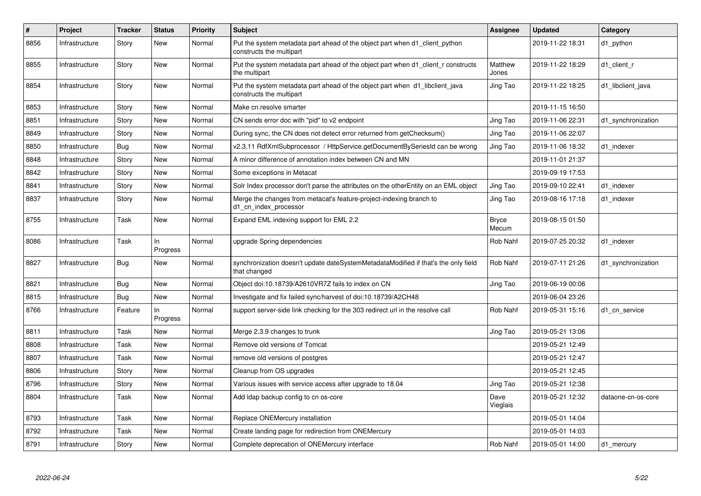| $\vert$ # | Project        | <b>Tracker</b> | <b>Status</b>     | <b>Priority</b> | <b>Subject</b>                                                                                           | Assignee              | <b>Updated</b>   | Category           |
|-----------|----------------|----------------|-------------------|-----------------|----------------------------------------------------------------------------------------------------------|-----------------------|------------------|--------------------|
| 8856      | Infrastructure | Story          | New               | Normal          | Put the system metadata part ahead of the object part when d1 client python<br>constructs the multipart  |                       | 2019-11-22 18:31 | d1 python          |
| 8855      | Infrastructure | Story          | New               | Normal          | Put the system metadata part ahead of the object part when d1_client_r constructs<br>the multipart       | Matthew<br>Jones      | 2019-11-22 18:29 | d1_client_r        |
| 8854      | Infrastructure | Story          | New               | Normal          | Put the system metadata part ahead of the object part when d1_libclient_java<br>constructs the multipart | Jing Tao              | 2019-11-22 18:25 | d1 libclient java  |
| 8853      | Infrastructure | Story          | <b>New</b>        | Normal          | Make cn.resolve smarter                                                                                  |                       | 2019-11-15 16:50 |                    |
| 8851      | Infrastructure | Story          | New               | Normal          | CN sends error doc with "pid" to v2 endpoint                                                             | Jing Tao              | 2019-11-06 22:31 | d1 synchronization |
| 8849      | Infrastructure | Story          | New               | Normal          | During sync, the CN does not detect error returned from getChecksum()                                    | Jing Tao              | 2019-11-06 22:07 |                    |
| 8850      | Infrastructure | Bug            | <b>New</b>        | Normal          | v2.3.11 RdfXmlSubprocessor / HttpService.getDocumentBySeriesId can be wrong                              | Jing Tao              | 2019-11-06 18:32 | d1 indexer         |
| 8848      | Infrastructure | Story          | New               | Normal          | A minor difference of annotation index between CN and MN                                                 |                       | 2019-11-01 21:37 |                    |
| 8842      | Infrastructure | Story          | New               | Normal          | Some exceptions in Metacat                                                                               |                       | 2019-09-19 17:53 |                    |
| 8841      | Infrastructure | Story          | <b>New</b>        | Normal          | Solr Index processor don't parse the attributes on the otherEntity on an EML object                      | Jing Tao              | 2019-09-10 22:41 | d1 indexer         |
| 8837      | Infrastructure | Story          | New               | Normal          | Merge the changes from metacat's feature-project-indexing branch to<br>d1_cn_index_processor             | Jing Tao              | 2019-08-16 17:18 | d1 indexer         |
| 8755      | Infrastructure | Task           | <b>New</b>        | Normal          | Expand EML indexing support for EML 2.2                                                                  | <b>Bryce</b><br>Mecum | 2019-08-15 01:50 |                    |
| 8086      | Infrastructure | Task           | $\ln$<br>Progress | Normal          | upgrade Spring dependencies                                                                              | <b>Rob Nahf</b>       | 2019-07-25 20:32 | d1 indexer         |
| 8827      | Infrastructure | Bug            | <b>New</b>        | Normal          | synchronization doesn't update dateSystemMetadataModified if that's the only field<br>that changed       | Rob Nahf              | 2019-07-11 21:26 | d1 synchronization |
| 8821      | Infrastructure | Bug            | <b>New</b>        | Normal          | Object doi:10.18739/A2610VR7Z fails to index on CN                                                       | Jing Tao              | 2019-06-19 00:06 |                    |
| 8815      | Infrastructure | Bug            | <b>New</b>        | Normal          | Investigate and fix failed sync/harvest of doi:10.18739/A2CH48                                           |                       | 2019-06-04 23:26 |                    |
| 8766      | Infrastructure | Feature        | $\ln$<br>Progress | Normal          | support server-side link checking for the 303 redirect url in the resolve call                           | Rob Nahf              | 2019-05-31 15:16 | d1 cn service      |
| 8811      | Infrastructure | Task           | <b>New</b>        | Normal          | Merge 2.3.9 changes to trunk                                                                             | Jing Tao              | 2019-05-21 13:06 |                    |
| 8808      | Infrastructure | Task           | <b>New</b>        | Normal          | Remove old versions of Tomcat                                                                            |                       | 2019-05-21 12:49 |                    |
| 8807      | Infrastructure | Task           | New               | Normal          | remove old versions of postgres                                                                          |                       | 2019-05-21 12:47 |                    |
| 8806      | Infrastructure | Story          | <b>New</b>        | Normal          | Cleanup from OS upgrades                                                                                 |                       | 2019-05-21 12:45 |                    |
| 8796      | Infrastructure | Story          | New               | Normal          | Various issues with service access after upgrade to 18.04                                                | Jing Tao              | 2019-05-21 12:38 |                    |
| 8804      | Infrastructure | Task           | New               | Normal          | Add Idap backup config to cn os-core                                                                     | Dave<br>Vieglais      | 2019-05-21 12:32 | dataone-cn-os-core |
| 8793      | Infrastructure | Task           | New               | Normal          | Replace ONEMercury installation                                                                          |                       | 2019-05-01 14:04 |                    |
| 8792      | Infrastructure | Task           | New               | Normal          | Create landing page for redirection from ONEMercury                                                      |                       | 2019-05-01 14:03 |                    |
| 8791      | Infrastructure | Story          | <b>New</b>        | Normal          | Complete deprecation of ONEMercury interface                                                             | Rob Nahf              | 2019-05-01 14:00 | d1_mercury         |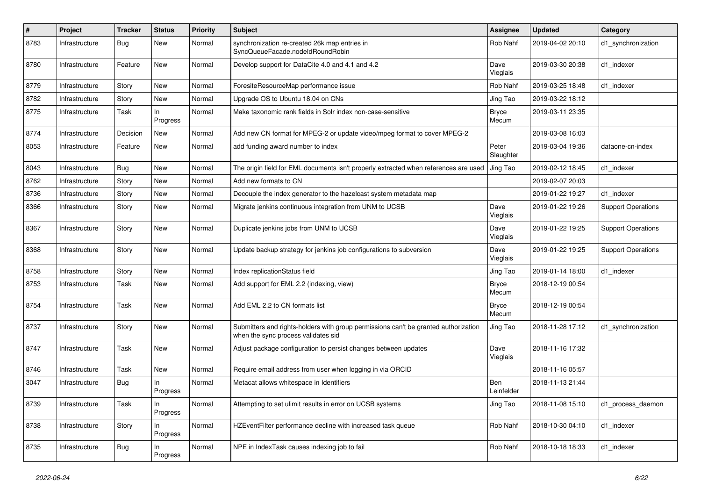| $\#$ | Project        | <b>Tracker</b> | <b>Status</b>  | <b>Priority</b> | <b>Subject</b>                                                                                                             | <b>Assignee</b>       | <b>Updated</b>   | Category                  |
|------|----------------|----------------|----------------|-----------------|----------------------------------------------------------------------------------------------------------------------------|-----------------------|------------------|---------------------------|
| 8783 | Infrastructure | Bug            | New            | Normal          | synchronization re-created 26k map entries in<br>SyncQueueFacade.nodeIdRoundRobin                                          | Rob Nahf              | 2019-04-02 20:10 | d1_synchronization        |
| 8780 | Infrastructure | Feature        | New            | Normal          | Develop support for DataCite 4.0 and 4.1 and 4.2                                                                           | Dave<br>Vieglais      | 2019-03-30 20:38 | d1_indexer                |
| 8779 | Infrastructure | Story          | New            | Normal          | ForesiteResourceMap performance issue                                                                                      | Rob Nahf              | 2019-03-25 18:48 | d1 indexer                |
| 8782 | Infrastructure | Story          | New            | Normal          | Upgrade OS to Ubuntu 18.04 on CNs                                                                                          | Jing Tao              | 2019-03-22 18:12 |                           |
| 8775 | Infrastructure | Task           | In<br>Progress | Normal          | Make taxonomic rank fields in Solr index non-case-sensitive                                                                | <b>Bryce</b><br>Mecum | 2019-03-11 23:35 |                           |
| 8774 | Infrastructure | Decision       | New            | Normal          | Add new CN format for MPEG-2 or update video/mpeg format to cover MPEG-2                                                   |                       | 2019-03-08 16:03 |                           |
| 8053 | Infrastructure | Feature        | New            | Normal          | add funding award number to index                                                                                          | Peter<br>Slaughter    | 2019-03-04 19:36 | dataone-cn-index          |
| 8043 | Infrastructure | Bug            | New            | Normal          | The origin field for EML documents isn't properly extracted when references are used                                       | Jing Tao              | 2019-02-12 18:45 | d1 indexer                |
| 8762 | Infrastructure | Story          | New            | Normal          | Add new formats to CN                                                                                                      |                       | 2019-02-07 20:03 |                           |
| 8736 | Infrastructure | Story          | New            | Normal          | Decouple the index generator to the hazelcast system metadata map                                                          |                       | 2019-01-22 19:27 | d1 indexer                |
| 8366 | Infrastructure | Story          | New            | Normal          | Migrate jenkins continuous integration from UNM to UCSB                                                                    | Dave<br>Vieglais      | 2019-01-22 19:26 | <b>Support Operations</b> |
| 8367 | Infrastructure | Story          | New            | Normal          | Duplicate jenkins jobs from UNM to UCSB                                                                                    | Dave<br>Vieglais      | 2019-01-22 19:25 | <b>Support Operations</b> |
| 8368 | Infrastructure | Story          | New            | Normal          | Update backup strategy for jenkins job configurations to subversion                                                        | Dave<br>Vieglais      | 2019-01-22 19:25 | <b>Support Operations</b> |
| 8758 | Infrastructure | Story          | <b>New</b>     | Normal          | Index replicationStatus field                                                                                              | Jing Tao              | 2019-01-14 18:00 | d1_indexer                |
| 8753 | Infrastructure | Task           | New            | Normal          | Add support for EML 2.2 (indexing, view)                                                                                   | <b>Bryce</b><br>Mecum | 2018-12-19 00:54 |                           |
| 8754 | Infrastructure | <b>Task</b>    | New            | Normal          | Add EML 2.2 to CN formats list                                                                                             | <b>Bryce</b><br>Mecum | 2018-12-19 00:54 |                           |
| 8737 | Infrastructure | Story          | New            | Normal          | Submitters and rights-holders with group permissions can't be granted authorization<br>when the sync process validates sid | Jing Tao              | 2018-11-28 17:12 | d1_synchronization        |
| 8747 | Infrastructure | Task           | New            | Normal          | Adjust package configuration to persist changes between updates                                                            | Dave<br>Vieglais      | 2018-11-16 17:32 |                           |
| 8746 | Infrastructure | Task           | New            | Normal          | Require email address from user when logging in via ORCID                                                                  |                       | 2018-11-16 05:57 |                           |
| 3047 | Infrastructure | <b>Bug</b>     | In<br>Progress | Normal          | Metacat allows whitespace in Identifiers                                                                                   | Ben<br>Leinfelder     | 2018-11-13 21:44 |                           |
| 8739 | Infrastructure | Task           | ln<br>Progress | Normal          | Attempting to set ulimit results in error on UCSB systems                                                                  | Jing Tao              | 2018-11-08 15:10 | d1_process_daemon         |
| 8738 | Infrastructure | Story          | In<br>Progress | Normal          | HZEventFilter performance decline with increased task queue                                                                | Rob Nahf              | 2018-10-30 04:10 | d1_indexer                |
| 8735 | Infrastructure | <b>Bug</b>     | In<br>Progress | Normal          | NPE in IndexTask causes indexing job to fail                                                                               | Rob Nahf              | 2018-10-18 18:33 | d1_indexer                |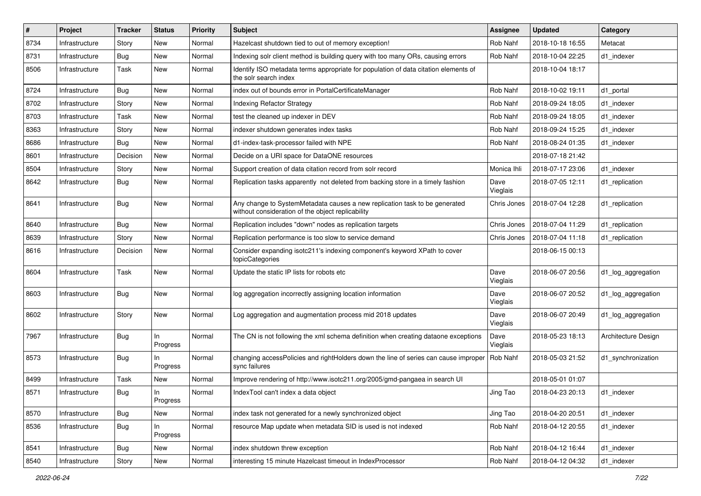| #    | Project        | <b>Tracker</b> | <b>Status</b>   | <b>Priority</b> | Subject                                                                                                                         | <b>Assignee</b>  | <b>Updated</b>   | Category            |
|------|----------------|----------------|-----------------|-----------------|---------------------------------------------------------------------------------------------------------------------------------|------------------|------------------|---------------------|
| 8734 | Infrastructure | Story          | New             | Normal          | Hazelcast shutdown tied to out of memory exception!                                                                             | Rob Nahf         | 2018-10-18 16:55 | Metacat             |
| 8731 | Infrastructure | <b>Bug</b>     | <b>New</b>      | Normal          | Indexing solr client method is building query with too many ORs, causing errors                                                 | Rob Nahf         | 2018-10-04 22:25 | d1_indexer          |
| 8506 | Infrastructure | Task           | New             | Normal          | Identify ISO metadata terms appropriate for population of data citation elements of<br>the solr search index                    |                  | 2018-10-04 18:17 |                     |
| 8724 | Infrastructure | Bug            | <b>New</b>      | Normal          | index out of bounds error in PortalCertificateManager                                                                           | Rob Nahf         | 2018-10-02 19:11 | d1_portal           |
| 8702 | Infrastructure | Story          | New             | Normal          | <b>Indexing Refactor Strategy</b>                                                                                               | Rob Nahf         | 2018-09-24 18:05 | d1 indexer          |
| 8703 | Infrastructure | Task           | <b>New</b>      | Normal          | test the cleaned up indexer in DEV                                                                                              | Rob Nahf         | 2018-09-24 18:05 | d1_indexer          |
| 8363 | Infrastructure | Story          | New             | Normal          | indexer shutdown generates index tasks                                                                                          | Rob Nahf         | 2018-09-24 15:25 | d1 indexer          |
| 8686 | Infrastructure | Bug            | New             | Normal          | d1-index-task-processor failed with NPE                                                                                         | Rob Nahf         | 2018-08-24 01:35 | d1 indexer          |
| 8601 | Infrastructure | Decision       | New             | Normal          | Decide on a URI space for DataONE resources                                                                                     |                  | 2018-07-18 21:42 |                     |
| 8504 | Infrastructure | Story          | New             | Normal          | Support creation of data citation record from solr record                                                                       | Monica Ihli      | 2018-07-17 23:06 | d1 indexer          |
| 8642 | Infrastructure | Bug            | New             | Normal          | Replication tasks apparently not deleted from backing store in a timely fashion                                                 | Dave<br>Vieglais | 2018-07-05 12:11 | d1 replication      |
| 8641 | Infrastructure | <b>Bug</b>     | New             | Normal          | Any change to SystemMetadata causes a new replication task to be generated<br>without consideration of the object replicability | Chris Jones      | 2018-07-04 12:28 | d1_replication      |
| 8640 | Infrastructure | Bug            | New             | Normal          | Replication includes "down" nodes as replication targets                                                                        | Chris Jones      | 2018-07-04 11:29 | d1 replication      |
| 8639 | Infrastructure | Story          | New             | Normal          | Replication performance is too slow to service demand                                                                           | Chris Jones      | 2018-07-04 11:18 | d1_replication      |
| 8616 | Infrastructure | Decision       | New             | Normal          | Consider expanding isotc211's indexing component's keyword XPath to cover<br>topicCategories                                    |                  | 2018-06-15 00:13 |                     |
| 8604 | Infrastructure | Task           | New             | Normal          | Update the static IP lists for robots etc                                                                                       | Dave<br>Vieglais | 2018-06-07 20:56 | d1_log_aggregation  |
| 8603 | Infrastructure | Bug            | New             | Normal          | log aggregation incorrectly assigning location information                                                                      | Dave<br>Vieglais | 2018-06-07 20:52 | d1_log_aggregation  |
| 8602 | Infrastructure | Story          | New             | Normal          | Log aggregation and augmentation process mid 2018 updates                                                                       | Dave<br>Vieglais | 2018-06-07 20:49 | d1_log_aggregation  |
| 7967 | Infrastructure | Bug            | In.<br>Progress | Normal          | The CN is not following the xml schema definition when creating dataone exceptions                                              | Dave<br>Vieglais | 2018-05-23 18:13 | Architecture Design |
| 8573 | Infrastructure | <b>Bug</b>     | In<br>Progress  | Normal          | changing accessPolicies and rightHolders down the line of series can cause improper   Rob Nahf<br>sync failures                 |                  | 2018-05-03 21:52 | d1_synchronization  |
| 8499 | Infrastructure | Task           | New             | Normal          | Improve rendering of http://www.isotc211.org/2005/gmd-pangaea in search UI                                                      |                  | 2018-05-01 01:07 |                     |
| 8571 | Infrastructure | Bug            | In<br>Progress  | Normal          | IndexTool can't index a data object                                                                                             | Jing Tao         | 2018-04-23 20:13 | d1 indexer          |
| 8570 | Infrastructure | Bug            | New             | Normal          | index task not generated for a newly synchronized object                                                                        | Jing Tao         | 2018-04-20 20:51 | d1 indexer          |
| 8536 | Infrastructure | <b>Bug</b>     | In<br>Progress  | Normal          | resource Map update when metadata SID is used is not indexed                                                                    | Rob Nahf         | 2018-04-12 20:55 | d1_indexer          |
| 8541 | Infrastructure | Bug            | New             | Normal          | index shutdown threw exception                                                                                                  | Rob Nahf         | 2018-04-12 16:44 | d1_indexer          |
| 8540 | Infrastructure | Story          | New             | Normal          | interesting 15 minute Hazelcast timeout in IndexProcessor                                                                       | Rob Nahf         | 2018-04-12 04:32 | d1_indexer          |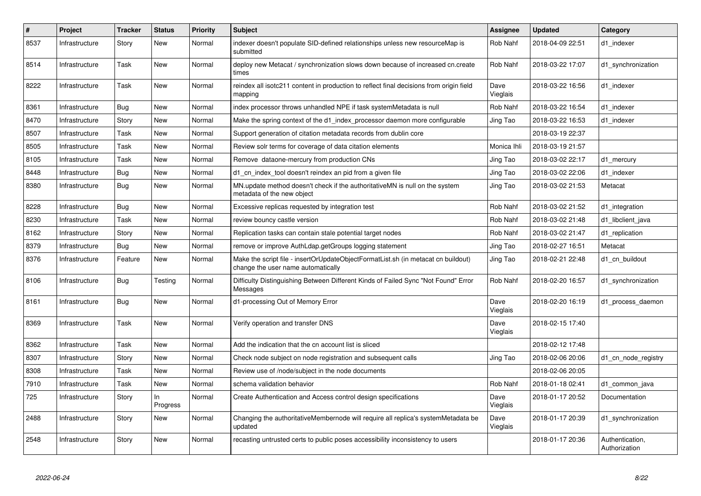| #    | Project        | <b>Tracker</b> | <b>Status</b>   | <b>Priority</b> | <b>Subject</b>                                                                                                          | Assignee         | <b>Updated</b>   | Category                         |
|------|----------------|----------------|-----------------|-----------------|-------------------------------------------------------------------------------------------------------------------------|------------------|------------------|----------------------------------|
| 8537 | Infrastructure | Story          | New             | Normal          | indexer doesn't populate SID-defined relationships unless new resourceMap is<br>submitted                               | <b>Rob Nahf</b>  | 2018-04-09 22:51 | d1_indexer                       |
| 8514 | Infrastructure | Task           | <b>New</b>      | Normal          | deploy new Metacat / synchronization slows down because of increased cn.create<br>times                                 | Rob Nahf         | 2018-03-22 17:07 | d1 synchronization               |
| 8222 | Infrastructure | Task           | New             | Normal          | reindex all isotc211 content in production to reflect final decisions from origin field<br>mapping                      | Dave<br>Vieglais | 2018-03-22 16:56 | d1 indexer                       |
| 8361 | Infrastructure | Bug            | <b>New</b>      | Normal          | index processor throws unhandled NPE if task systemMetadata is null                                                     | Rob Nahf         | 2018-03-22 16:54 | d1 indexer                       |
| 8470 | Infrastructure | Story          | <b>New</b>      | Normal          | Make the spring context of the d1_index_processor daemon more configurable                                              | Jing Tao         | 2018-03-22 16:53 | d1 indexer                       |
| 8507 | Infrastructure | Task           | New             | Normal          | Support generation of citation metadata records from dublin core                                                        |                  | 2018-03-19 22:37 |                                  |
| 8505 | Infrastructure | Task           | <b>New</b>      | Normal          | Review solr terms for coverage of data citation elements                                                                | Monica Ihli      | 2018-03-19 21:57 |                                  |
| 8105 | Infrastructure | Task           | <b>New</b>      | Normal          | Remove dataone-mercury from production CNs                                                                              | Jing Tao         | 2018-03-02 22:17 | d1_mercury                       |
| 8448 | Infrastructure | Bug            | <b>New</b>      | Normal          | d1 cn index tool doesn't reindex an pid from a given file                                                               | Jing Tao         | 2018-03-02 22:06 | d1 indexer                       |
| 8380 | Infrastructure | <b>Bug</b>     | New             | Normal          | MN update method doesn't check if the authoritativeMN is null on the system<br>metadata of the new object               | Jing Tao         | 2018-03-02 21:53 | Metacat                          |
| 8228 | Infrastructure | Bug            | New             | Normal          | Excessive replicas requested by integration test                                                                        | Rob Nahf         | 2018-03-02 21:52 | d1 integration                   |
| 8230 | Infrastructure | Task           | <b>New</b>      | Normal          | review bouncy castle version                                                                                            | Rob Nahf         | 2018-03-02 21:48 | d1_libclient_java                |
| 8162 | Infrastructure | Story          | <b>New</b>      | Normal          | Replication tasks can contain stale potential target nodes                                                              | Rob Nahf         | 2018-03-02 21:47 | d1 replication                   |
| 8379 | Infrastructure | <b>Bug</b>     | <b>New</b>      | Normal          | remove or improve AuthLdap.getGroups logging statement                                                                  | Jing Tao         | 2018-02-27 16:51 | Metacat                          |
| 8376 | Infrastructure | Feature        | New             | Normal          | Make the script file - insertOrUpdateObjectFormatList.sh (in metacat cn buildout)<br>change the user name automatically | Jing Tao         | 2018-02-21 22:48 | d1 cn buildout                   |
| 8106 | Infrastructure | <b>Bug</b>     | Testing         | Normal          | Difficulty Distinguishing Between Different Kinds of Failed Sync "Not Found" Error<br>Messages                          | Rob Nahf         | 2018-02-20 16:57 | d1 synchronization               |
| 8161 | Infrastructure | Bug            | <b>New</b>      | Normal          | d1-processing Out of Memory Error                                                                                       | Dave<br>Vieglais | 2018-02-20 16:19 | d1_process_daemon                |
| 8369 | Infrastructure | Task           | <b>New</b>      | Normal          | Verify operation and transfer DNS                                                                                       | Dave<br>Vieglais | 2018-02-15 17:40 |                                  |
| 8362 | Infrastructure | Task           | New             | Normal          | Add the indication that the cn account list is sliced                                                                   |                  | 2018-02-12 17:48 |                                  |
| 8307 | Infrastructure | Story          | New             | Normal          | Check node subject on node registration and subsequent calls                                                            | Jing Tao         | 2018-02-06 20:06 | d1 cn node registry              |
| 8308 | Infrastructure | Task           | New             | Normal          | Review use of /node/subject in the node documents                                                                       |                  | 2018-02-06 20:05 |                                  |
| 7910 | Infrastructure | Task           | <b>New</b>      | Normal          | schema validation behavior                                                                                              | <b>Rob Nahf</b>  | 2018-01-18 02:41 | d1_common_java                   |
| 725  | Infrastructure | Story          | In.<br>Progress | Normal          | Create Authentication and Access control design specifications                                                          | Dave<br>Vieglais | 2018-01-17 20:52 | Documentation                    |
| 2488 | Infrastructure | Story          | <b>New</b>      | Normal          | Changing the authoritativeMembernode will require all replica's systemMetadata be<br>updated                            | Dave<br>Vieglais | 2018-01-17 20:39 | d1 synchronization               |
| 2548 | Infrastructure | Story          | <b>New</b>      | Normal          | recasting untrusted certs to public poses accessibility inconsistency to users                                          |                  | 2018-01-17 20:36 | Authentication,<br>Authorization |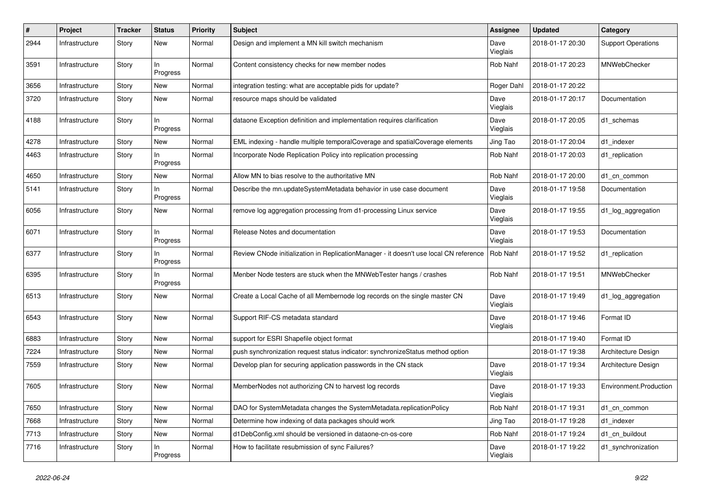| #    | Project        | <b>Tracker</b> | <b>Status</b>   | <b>Priority</b> | <b>Subject</b>                                                                        | <b>Assignee</b>  | <b>Updated</b>   | Category                  |
|------|----------------|----------------|-----------------|-----------------|---------------------------------------------------------------------------------------|------------------|------------------|---------------------------|
| 2944 | Infrastructure | Story          | New             | Normal          | Design and implement a MN kill switch mechanism                                       | Dave<br>Vieglais | 2018-01-17 20:30 | <b>Support Operations</b> |
| 3591 | Infrastructure | Story          | In<br>Progress  | Normal          | Content consistency checks for new member nodes                                       | Rob Nahf         | 2018-01-17 20:23 | <b>MNWebChecker</b>       |
| 3656 | Infrastructure | Story          | New             | Normal          | integration testing: what are acceptable pids for update?                             | Roger Dahl       | 2018-01-17 20:22 |                           |
| 3720 | Infrastructure | Story          | New             | Normal          | resource maps should be validated                                                     | Dave<br>Vieglais | 2018-01-17 20:17 | Documentation             |
| 4188 | Infrastructure | Story          | In<br>Progress  | Normal          | dataone Exception definition and implementation requires clarification                | Dave<br>Vieglais | 2018-01-17 20:05 | d1 schemas                |
| 4278 | Infrastructure | Story          | New             | Normal          | EML indexing - handle multiple temporalCoverage and spatialCoverage elements          | Jing Tao         | 2018-01-17 20:04 | d1_indexer                |
| 4463 | Infrastructure | Story          | In<br>Progress  | Normal          | Incorporate Node Replication Policy into replication processing                       | Rob Nahf         | 2018-01-17 20:03 | d1_replication            |
| 4650 | Infrastructure | Story          | <b>New</b>      | Normal          | Allow MN to bias resolve to the authoritative MN                                      | Rob Nahf         | 2018-01-17 20:00 | d1 cn common              |
| 5141 | Infrastructure | Story          | In<br>Progress  | Normal          | Describe the mn.updateSystemMetadata behavior in use case document                    | Dave<br>Vieglais | 2018-01-17 19:58 | Documentation             |
| 6056 | Infrastructure | Story          | New             | Normal          | remove log aggregation processing from d1-processing Linux service                    | Dave<br>Vieglais | 2018-01-17 19:55 | d1_log_aggregation        |
| 6071 | Infrastructure | Story          | In.<br>Progress | Normal          | Release Notes and documentation                                                       | Dave<br>Vieglais | 2018-01-17 19:53 | Documentation             |
| 6377 | Infrastructure | Story          | In<br>Progress  | Normal          | Review CNode initialization in ReplicationManager - it doesn't use local CN reference | Rob Nahf         | 2018-01-17 19:52 | d1_replication            |
| 6395 | Infrastructure | Story          | In<br>Progress  | Normal          | Menber Node testers are stuck when the MNWebTester hangs / crashes                    | Rob Nahf         | 2018-01-17 19:51 | <b>MNWebChecker</b>       |
| 6513 | Infrastructure | Story          | <b>New</b>      | Normal          | Create a Local Cache of all Membernode log records on the single master CN            | Dave<br>Vieglais | 2018-01-17 19:49 | d1_log_aggregation        |
| 6543 | Infrastructure | Story          | New             | Normal          | Support RIF-CS metadata standard                                                      | Dave<br>Vieglais | 2018-01-17 19:46 | Format ID                 |
| 6883 | Infrastructure | Story          | New             | Normal          | support for ESRI Shapefile object format                                              |                  | 2018-01-17 19:40 | Format ID                 |
| 7224 | Infrastructure | Story          | New             | Normal          | push synchronization request status indicator: synchronizeStatus method option        |                  | 2018-01-17 19:38 | Architecture Design       |
| 7559 | Infrastructure | Story          | New             | Normal          | Develop plan for securing application passwords in the CN stack                       | Dave<br>Vieglais | 2018-01-17 19:34 | Architecture Design       |
| 7605 | Infrastructure | Story          | New             | Normal          | MemberNodes not authorizing CN to harvest log records                                 | Dave<br>Vieglais | 2018-01-17 19:33 | Environment.Production    |
| 7650 | Infrastructure | Story          | New             | Normal          | DAO for SystemMetadata changes the SystemMetadata.replicationPolicy                   | Rob Nahf         | 2018-01-17 19:31 | d1 cn common              |
| 7668 | Infrastructure | Story          | New             | Normal          | Determine how indexing of data packages should work                                   | Jing Tao         | 2018-01-17 19:28 | d1_indexer                |
| 7713 | Infrastructure | Story          | New             | Normal          | d1DebConfig.xml should be versioned in dataone-cn-os-core                             | Rob Nahf         | 2018-01-17 19:24 | d1_cn_buildout            |
| 7716 | Infrastructure | Story          | In.<br>Progress | Normal          | How to facilitate resubmission of sync Failures?                                      | Dave<br>Vieglais | 2018-01-17 19:22 | d1_synchronization        |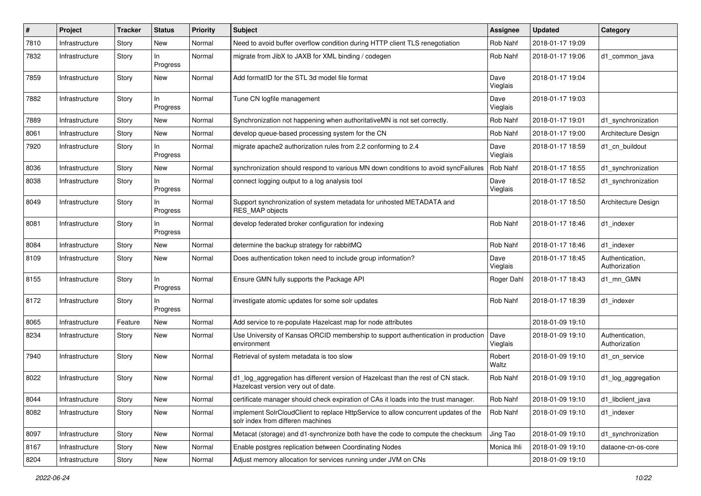| #    | <b>Project</b> | <b>Tracker</b> | <b>Status</b>   | <b>Priority</b> | <b>Subject</b>                                                                                                           | <b>Assignee</b>  | <b>Updated</b>   | Category                         |
|------|----------------|----------------|-----------------|-----------------|--------------------------------------------------------------------------------------------------------------------------|------------------|------------------|----------------------------------|
| 7810 | Infrastructure | Story          | New             | Normal          | Need to avoid buffer overflow condition during HTTP client TLS renegotiation                                             | Rob Nahf         | 2018-01-17 19:09 |                                  |
| 7832 | Infrastructure | Story          | In<br>Progress  | Normal          | migrate from JibX to JAXB for XML binding / codegen                                                                      | Rob Nahf         | 2018-01-17 19:06 | d1 common java                   |
| 7859 | Infrastructure | Story          | New             | Normal          | Add formatID for the STL 3d model file format                                                                            | Dave<br>Vieglais | 2018-01-17 19:04 |                                  |
| 7882 | Infrastructure | Story          | In.<br>Progress | Normal          | Tune CN logfile management                                                                                               | Dave<br>Vieglais | 2018-01-17 19:03 |                                  |
| 7889 | Infrastructure | Story          | New             | Normal          | Synchronization not happening when authoritativeMN is not set correctly.                                                 | Rob Nahf         | 2018-01-17 19:01 | d1 synchronization               |
| 8061 | Infrastructure | Story          | New             | Normal          | develop queue-based processing system for the CN                                                                         | <b>Rob Nahf</b>  | 2018-01-17 19:00 | Architecture Design              |
| 7920 | Infrastructure | Story          | In<br>Progress  | Normal          | migrate apache2 authorization rules from 2.2 conforming to 2.4                                                           | Dave<br>Vieglais | 2018-01-17 18:59 | d1 cn buildout                   |
| 8036 | Infrastructure | Story          | New             | Normal          | synchronization should respond to various MN down conditions to avoid syncFailures                                       | Rob Nahf         | 2018-01-17 18:55 | d1 synchronization               |
| 8038 | Infrastructure | Story          | In.<br>Progress | Normal          | connect logging output to a log analysis tool                                                                            | Dave<br>Vieglais | 2018-01-17 18:52 | d1_synchronization               |
| 8049 | Infrastructure | Story          | In.<br>Progress | Normal          | Support synchronization of system metadata for unhosted METADATA and<br><b>RES MAP objects</b>                           |                  | 2018-01-17 18:50 | Architecture Design              |
| 8081 | Infrastructure | Story          | In.<br>Progress | Normal          | develop federated broker configuration for indexing                                                                      | Rob Nahf         | 2018-01-17 18:46 | d1_indexer                       |
| 8084 | Infrastructure | Story          | New             | Normal          | determine the backup strategy for rabbitMQ                                                                               | Rob Nahf         | 2018-01-17 18:46 | d1 indexer                       |
| 8109 | Infrastructure | Story          | New             | Normal          | Does authentication token need to include group information?                                                             | Dave<br>Vieglais | 2018-01-17 18:45 | Authentication,<br>Authorization |
| 8155 | Infrastructure | Story          | In<br>Progress  | Normal          | Ensure GMN fully supports the Package API                                                                                | Roger Dahl       | 2018-01-17 18:43 | d1_mn_GMN                        |
| 8172 | Infrastructure | Story          | ln.<br>Progress | Normal          | investigate atomic updates for some solr updates                                                                         | Rob Nahf         | 2018-01-17 18:39 | d1 indexer                       |
| 8065 | Infrastructure | Feature        | New             | Normal          | Add service to re-populate Hazelcast map for node attributes                                                             |                  | 2018-01-09 19:10 |                                  |
| 8234 | Infrastructure | Story          | New             | Normal          | Use University of Kansas ORCID membership to support authentication in production<br>environment                         | Dave<br>Vieglais | 2018-01-09 19:10 | Authentication,<br>Authorization |
| 7940 | Infrastructure | Story          | New             | Normal          | Retrieval of system metadata is too slow                                                                                 | Robert<br>Waltz  | 2018-01-09 19:10 | d1 cn service                    |
| 8022 | Infrastructure | Story          | New             | Normal          | d1_log_aggregation has different version of Hazelcast than the rest of CN stack.<br>Hazelcast version very out of date.  | Rob Nahf         | 2018-01-09 19:10 | d1_log_aggregation               |
| 8044 | Infrastructure | Story          | New             | Normal          | certificate manager should check expiration of CAs it loads into the trust manager.                                      | Rob Nahf         | 2018-01-09 19:10 | d1_libclient_java                |
| 8082 | Infrastructure | Story          | New             | Normal          | implement SolrCloudClient to replace HttpService to allow concurrent updates of the<br>solr index from differen machines | Rob Nahf         | 2018-01-09 19:10 | d1 indexer                       |
| 8097 | Infrastructure | Story          | New             | Normal          | Metacat (storage) and d1-synchronize both have the code to compute the checksum                                          | Jing Tao         | 2018-01-09 19:10 | d1 synchronization               |
| 8167 | Infrastructure | Story          | New             | Normal          | Enable postgres replication between Coordinating Nodes                                                                   | Monica Ihli      | 2018-01-09 19:10 | dataone-cn-os-core               |
| 8204 | Infrastructure | Story          | New             | Normal          | Adjust memory allocation for services running under JVM on CNs                                                           |                  | 2018-01-09 19:10 |                                  |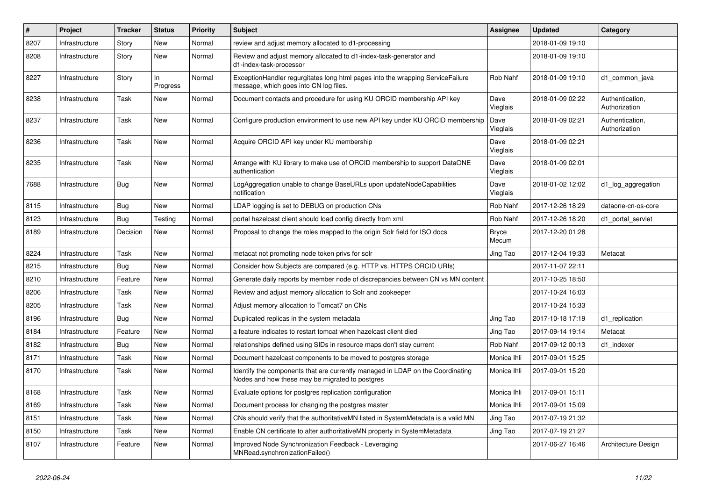| $\sharp$ | <b>Project</b> | <b>Tracker</b> | <b>Status</b>  | Priority | <b>Subject</b>                                                                                                                    | <b>Assignee</b>         | <b>Updated</b>   | Category                         |
|----------|----------------|----------------|----------------|----------|-----------------------------------------------------------------------------------------------------------------------------------|-------------------------|------------------|----------------------------------|
| 8207     | Infrastructure | Story          | <b>New</b>     | Normal   | review and adjust memory allocated to d1-processing                                                                               |                         | 2018-01-09 19:10 |                                  |
| 8208     | Infrastructure | Story          | New            | Normal   | Review and adjust memory allocated to d1-index-task-generator and<br>d1-index-task-processor                                      |                         | 2018-01-09 19:10 |                                  |
| 8227     | Infrastructure | Story          | In<br>Progress | Normal   | ExceptionHandler regurgitates long html pages into the wrapping ServiceFailure<br>message, which goes into CN log files.          | Rob Nahf                | 2018-01-09 19:10 | d1 common java                   |
| 8238     | Infrastructure | Task           | New            | Normal   | Document contacts and procedure for using KU ORCID membership API key                                                             | Dave<br><b>Vieglais</b> | 2018-01-09 02:22 | Authentication,<br>Authorization |
| 8237     | Infrastructure | Task           | New            | Normal   | Configure production environment to use new API key under KU ORCID membership                                                     | Dave<br>Vieglais        | 2018-01-09 02:21 | Authentication,<br>Authorization |
| 8236     | Infrastructure | Task           | New            | Normal   | Acquire ORCID API key under KU membership                                                                                         | Dave<br>Vieglais        | 2018-01-09 02:21 |                                  |
| 8235     | Infrastructure | Task           | New            | Normal   | Arrange with KU library to make use of ORCID membership to support DataONE<br>authentication                                      | Dave<br>Vieglais        | 2018-01-09 02:01 |                                  |
| 7688     | Infrastructure | Bug            | New            | Normal   | LogAggregation unable to change BaseURLs upon updateNodeCapabilities<br>notification                                              | Dave<br>Vieglais        | 2018-01-02 12:02 | d1_log_aggregation               |
| 8115     | Infrastructure | Bug            | New            | Normal   | LDAP logging is set to DEBUG on production CNs                                                                                    | Rob Nahf                | 2017-12-26 18:29 | dataone-cn-os-core               |
| 8123     | Infrastructure | Bug            | Testing        | Normal   | portal hazelcast client should load config directly from xml                                                                      | Rob Nahf                | 2017-12-26 18:20 | d1 portal servlet                |
| 8189     | Infrastructure | Decision       | New            | Normal   | Proposal to change the roles mapped to the origin Solr field for ISO docs                                                         | <b>Bryce</b><br>Mecum   | 2017-12-20 01:28 |                                  |
| 8224     | Infrastructure | Task           | New            | Normal   | metacat not promoting node token privs for solr                                                                                   | Jing Tao                | 2017-12-04 19:33 | Metacat                          |
| 8215     | Infrastructure | Bug            | New            | Normal   | Consider how Subjects are compared (e.g. HTTP vs. HTTPS ORCID URIs)                                                               |                         | 2017-11-07 22:11 |                                  |
| 8210     | Infrastructure | Feature        | <b>New</b>     | Normal   | Generate daily reports by member node of discrepancies between CN vs MN content                                                   |                         | 2017-10-25 18:50 |                                  |
| 8206     | Infrastructure | Task           | New            | Normal   | Review and adjust memory allocation to Solr and zookeeper                                                                         |                         | 2017-10-24 16:03 |                                  |
| 8205     | Infrastructure | Task           | <b>New</b>     | Normal   | Adjust memory allocation to Tomcat7 on CNs                                                                                        |                         | 2017-10-24 15:33 |                                  |
| 8196     | Infrastructure | Bug            | <b>New</b>     | Normal   | Duplicated replicas in the system metadata                                                                                        | Jing Tao                | 2017-10-18 17:19 | d1 replication                   |
| 8184     | Infrastructure | Feature        | <b>New</b>     | Normal   | a feature indicates to restart tomcat when hazelcast client died                                                                  | Jing Tao                | 2017-09-14 19:14 | Metacat                          |
| 8182     | Infrastructure | Bug            | <b>New</b>     | Normal   | relationships defined using SIDs in resource maps don't stay current                                                              | Rob Nahf                | 2017-09-12 00:13 | d1 indexer                       |
| 8171     | Infrastructure | Task           | <b>New</b>     | Normal   | Document hazelcast components to be moved to postgres storage                                                                     | Monica Ihli             | 2017-09-01 15:25 |                                  |
| 8170     | Infrastructure | Task           | New            | Normal   | Identify the components that are currently managed in LDAP on the Coordinating<br>Nodes and how these may be migrated to postgres | Monica Ihli             | 2017-09-01 15:20 |                                  |
| 8168     | Infrastructure | Task           | New            | Normal   | Evaluate options for postgres replication configuration                                                                           | Monica Ihli             | 2017-09-01 15:11 |                                  |
| 8169     | Infrastructure | Task           | New            | Normal   | Document process for changing the postgres master                                                                                 | Monica Ihli             | 2017-09-01 15:09 |                                  |
| 8151     | Infrastructure | Task           | New            | Normal   | CNs should verify that the authoritativeMN listed in SystemMetadata is a valid MN                                                 | Jing Tao                | 2017-07-19 21:32 |                                  |
| 8150     | Infrastructure | Task           | New            | Normal   | Enable CN certificate to alter authoritativeMN property in SystemMetadata                                                         | Jing Tao                | 2017-07-19 21:27 |                                  |
| 8107     | Infrastructure | Feature        | New            | Normal   | Improved Node Synchronization Feedback - Leveraging<br>MNRead.synchronizationFailed()                                             |                         | 2017-06-27 16:46 | Architecture Design              |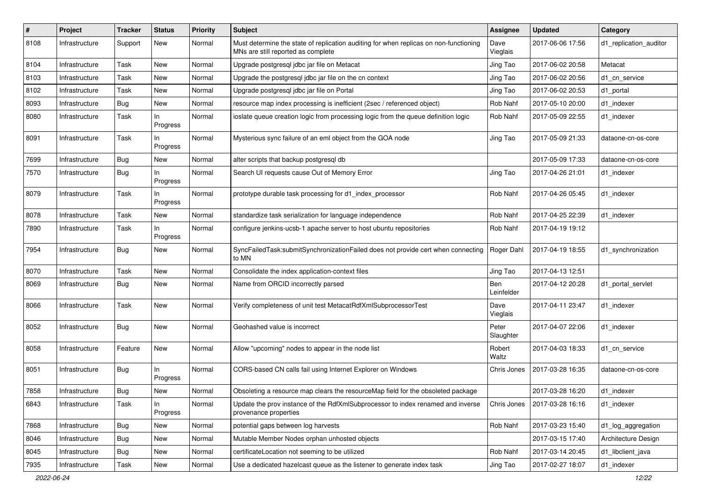| #    | Project        | <b>Tracker</b> | <b>Status</b>   | <b>Priority</b> | <b>Subject</b>                                                                                                              | Assignee           | <b>Updated</b>   | Category               |
|------|----------------|----------------|-----------------|-----------------|-----------------------------------------------------------------------------------------------------------------------------|--------------------|------------------|------------------------|
| 8108 | Infrastructure | Support        | New             | Normal          | Must determine the state of replication auditing for when replicas on non-functioning<br>MNs are still reported as complete | Dave<br>Vieglais   | 2017-06-06 17:56 | d1_replication_auditor |
| 8104 | Infrastructure | Task           | New             | Normal          | Upgrade postgresql jdbc jar file on Metacat                                                                                 | Jing Tao           | 2017-06-02 20:58 | Metacat                |
| 8103 | Infrastructure | Task           | New             | Normal          | Upgrade the postgresql jdbc jar file on the cn context                                                                      | Jing Tao           | 2017-06-02 20:56 | d1 cn service          |
| 8102 | Infrastructure | Task           | New             | Normal          | Upgrade postgresql jdbc jar file on Portal                                                                                  | Jing Tao           | 2017-06-02 20:53 | d1 portal              |
| 8093 | Infrastructure | <b>Bug</b>     | New             | Normal          | resource map index processing is inefficient (2sec / referenced object)                                                     | Rob Nahf           | 2017-05-10 20:00 | d1 indexer             |
| 8080 | Infrastructure | Task           | In<br>Progress  | Normal          | ioslate queue creation logic from processing logic from the queue definition logic                                          | Rob Nahf           | 2017-05-09 22:55 | d1 indexer             |
| 8091 | Infrastructure | Task           | In<br>Progress  | Normal          | Mysterious sync failure of an eml object from the GOA node                                                                  | Jing Tao           | 2017-05-09 21:33 | dataone-cn-os-core     |
| 7699 | Infrastructure | Bug            | New             | Normal          | alter scripts that backup postgresgl db                                                                                     |                    | 2017-05-09 17:33 | dataone-cn-os-core     |
| 7570 | Infrastructure | <b>Bug</b>     | In<br>Progress  | Normal          | Search UI requests cause Out of Memory Error                                                                                | Jing Tao           | 2017-04-26 21:01 | d1 indexer             |
| 8079 | Infrastructure | Task           | In<br>Progress  | Normal          | prototype durable task processing for d1_index_processor                                                                    | Rob Nahf           | 2017-04-26 05:45 | d1_indexer             |
| 8078 | Infrastructure | Task           | <b>New</b>      | Normal          | standardize task serialization for language independence                                                                    | <b>Rob Nahf</b>    | 2017-04-25 22:39 | d1_indexer             |
| 7890 | Infrastructure | Task           | In<br>Progress  | Normal          | configure jenkins-ucsb-1 apache server to host ubuntu repositories                                                          | Rob Nahf           | 2017-04-19 19:12 |                        |
| 7954 | Infrastructure | <b>Bug</b>     | New             | Normal          | SyncFailedTask:submitSynchronizationFailed does not provide cert when connecting<br>to MN                                   | Roger Dahl         | 2017-04-19 18:55 | d1_synchronization     |
| 8070 | Infrastructure | Task           | <b>New</b>      | Normal          | Consolidate the index application-context files                                                                             | Jing Tao           | 2017-04-13 12:51 |                        |
| 8069 | Infrastructure | Bug            | New             | Normal          | Name from ORCID incorrectly parsed                                                                                          | Ben<br>Leinfelder  | 2017-04-12 20:28 | d1 portal servlet      |
| 8066 | Infrastructure | Task           | New             | Normal          | Verify completeness of unit test MetacatRdfXmlSubprocessorTest                                                              | Dave<br>Vieglais   | 2017-04-11 23:47 | d1_indexer             |
| 8052 | Infrastructure | <b>Bug</b>     | New             | Normal          | Geohashed value is incorrect                                                                                                | Peter<br>Slaughter | 2017-04-07 22:06 | d1_indexer             |
| 8058 | Infrastructure | Feature        | New             | Normal          | Allow "upcoming" nodes to appear in the node list                                                                           | Robert<br>Waltz    | 2017-04-03 18:33 | d1 cn service          |
| 8051 | Infrastructure | <b>Bug</b>     | In<br>Progress  | Normal          | CORS-based CN calls fail using Internet Explorer on Windows                                                                 | Chris Jones        | 2017-03-28 16:35 | dataone-cn-os-core     |
| 7858 | Infrastructure | <b>Bug</b>     | New             | Normal          | Obsoleting a resource map clears the resourceMap field for the obsoleted package                                            |                    | 2017-03-28 16:20 | d1 indexer             |
| 6843 | Infrastructure | Task           | In.<br>Progress | Normal          | Update the prov instance of the RdfXmlSubprocessor to index renamed and inverse<br>provenance properties                    | Chris Jones        | 2017-03-28 16:16 | d1 indexer             |
| 7868 | Infrastructure | Bug            | New             | Normal          | potential gaps between log harvests                                                                                         | Rob Nahf           | 2017-03-23 15:40 | d1_log_aggregation     |
| 8046 | Infrastructure | <b>Bug</b>     | New             | Normal          | Mutable Member Nodes orphan unhosted objects                                                                                |                    | 2017-03-15 17:40 | Architecture Design    |
| 8045 | Infrastructure | <b>Bug</b>     | New             | Normal          | certificateLocation not seeming to be utilized                                                                              | Rob Nahf           | 2017-03-14 20:45 | d1_libclient_java      |
| 7935 | Infrastructure | Task           | New             | Normal          | Use a dedicated hazelcast queue as the listener to generate index task                                                      | Jing Tao           | 2017-02-27 18:07 | d1_indexer             |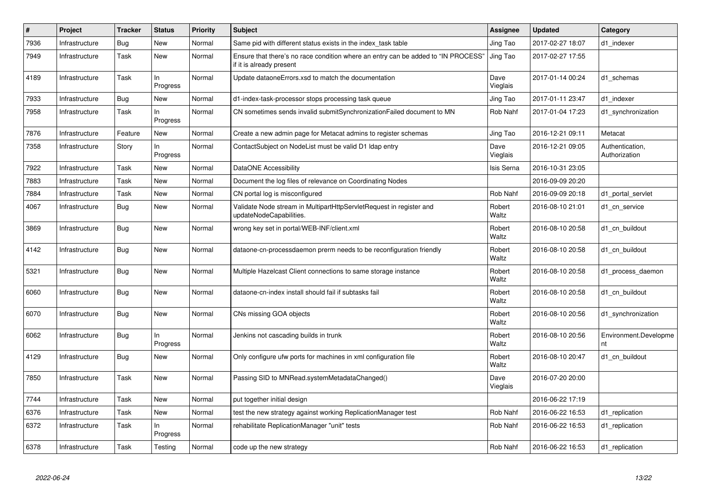| $\pmb{\#}$ | Project        | <b>Tracker</b> | <b>Status</b>   | Priority | <b>Subject</b>                                                                                                | Assignee         | <b>Updated</b>   | Category                         |
|------------|----------------|----------------|-----------------|----------|---------------------------------------------------------------------------------------------------------------|------------------|------------------|----------------------------------|
| 7936       | Infrastructure | Bug            | New             | Normal   | Same pid with different status exists in the index_task table                                                 | Jing Tao         | 2017-02-27 18:07 | d1 indexer                       |
| 7949       | Infrastructure | Task           | <b>New</b>      | Normal   | Ensure that there's no race condition where an entry can be added to "IN PROCESS"<br>if it is already present | Jing Tao         | 2017-02-27 17:55 |                                  |
| 4189       | Infrastructure | Task           | In.<br>Progress | Normal   | Update dataoneErrors.xsd to match the documentation                                                           | Dave<br>Vieglais | 2017-01-14 00:24 | d1 schemas                       |
| 7933       | Infrastructure | <b>Bug</b>     | New             | Normal   | d1-index-task-processor stops processing task queue                                                           | Jing Tao         | 2017-01-11 23:47 | d1 indexer                       |
| 7958       | Infrastructure | Task           | In.<br>Progress | Normal   | CN sometimes sends invalid submitSynchronizationFailed document to MN                                         | Rob Nahf         | 2017-01-04 17:23 | d1_synchronization               |
| 7876       | Infrastructure | Feature        | <b>New</b>      | Normal   | Create a new admin page for Metacat admins to register schemas                                                | Jing Tao         | 2016-12-21 09:11 | Metacat                          |
| 7358       | Infrastructure | Story          | In<br>Progress  | Normal   | ContactSubject on NodeList must be valid D1 Idap entry                                                        | Dave<br>Vieglais | 2016-12-21 09:05 | Authentication,<br>Authorization |
| 7922       | Infrastructure | Task           | New             | Normal   | DataONE Accessibility                                                                                         | Isis Serna       | 2016-10-31 23:05 |                                  |
| 7883       | Infrastructure | Task           | <b>New</b>      | Normal   | Document the log files of relevance on Coordinating Nodes                                                     |                  | 2016-09-09 20:20 |                                  |
| 7884       | Infrastructure | Task           | <b>New</b>      | Normal   | CN portal log is misconfigured                                                                                | Rob Nahf         | 2016-09-09 20:18 | d1 portal servlet                |
| 4067       | Infrastructure | Bug            | <b>New</b>      | Normal   | Validate Node stream in MultipartHttpServletRequest in register and<br>updateNodeCapabilities.                | Robert<br>Waltz  | 2016-08-10 21:01 | d1 cn service                    |
| 3869       | Infrastructure | <b>Bug</b>     | <b>New</b>      | Normal   | wrong key set in portal/WEB-INF/client.xml                                                                    | Robert<br>Waltz  | 2016-08-10 20:58 | d1 cn buildout                   |
| 4142       | Infrastructure | <b>Bug</b>     | New             | Normal   | dataone-cn-processdaemon prerm needs to be reconfiguration friendly                                           | Robert<br>Waltz  | 2016-08-10 20:58 | d1 cn buildout                   |
| 5321       | Infrastructure | Bug            | New             | Normal   | Multiple Hazelcast Client connections to same storage instance                                                | Robert<br>Waltz  | 2016-08-10 20:58 | d1_process_daemon                |
| 6060       | Infrastructure | Bug            | <b>New</b>      | Normal   | dataone-cn-index install should fail if subtasks fail                                                         | Robert<br>Waltz  | 2016-08-10 20:58 | d1 cn buildout                   |
| 6070       | Infrastructure | Bug            | New             | Normal   | CNs missing GOA objects                                                                                       | Robert<br>Waltz  | 2016-08-10 20:56 | d1 synchronization               |
| 6062       | Infrastructure | Bug            | In<br>Progress  | Normal   | Jenkins not cascading builds in trunk                                                                         | Robert<br>Waltz  | 2016-08-10 20:56 | Environment.Developme<br>nt      |
| 4129       | Infrastructure | Bug            | New             | Normal   | Only configure ufw ports for machines in xml configuration file                                               | Robert<br>Waltz  | 2016-08-10 20:47 | d1 cn buildout                   |
| 7850       | Infrastructure | Task           | <b>New</b>      | Normal   | Passing SID to MNRead.systemMetadataChanged()                                                                 | Dave<br>Vieglais | 2016-07-20 20:00 |                                  |
| 7744       | Infrastructure | Task           | <b>New</b>      | Normal   | put together initial design                                                                                   |                  | 2016-06-22 17:19 |                                  |
| 6376       | Infrastructure | Task           | <b>New</b>      | Normal   | test the new strategy against working ReplicationManager test                                                 | Rob Nahf         | 2016-06-22 16:53 | d1_replication                   |
| 6372       | Infrastructure | Task           | In.<br>Progress | Normal   | rehabilitate ReplicationManager "unit" tests                                                                  | Rob Nahf         | 2016-06-22 16:53 | d1 replication                   |
| 6378       | Infrastructure | Task           | Testing         | Normal   | code up the new strategy                                                                                      | Rob Nahf         | 2016-06-22 16:53 | d1 replication                   |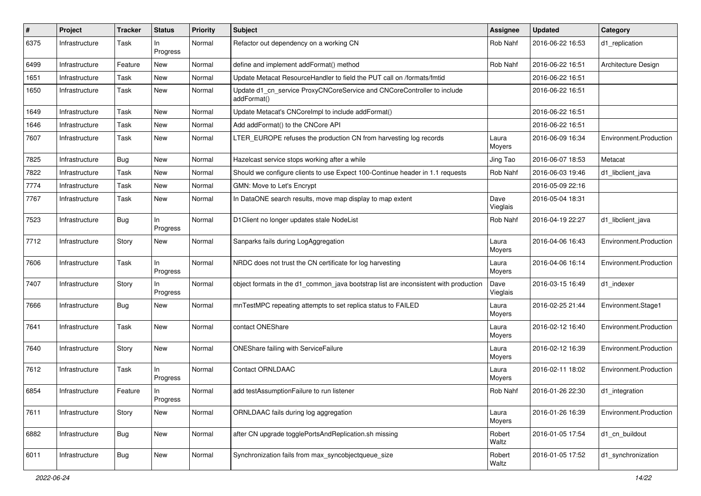| #    | Project        | Tracker    | <b>Status</b>   | <b>Priority</b> | <b>Subject</b>                                                                         | <b>Assignee</b>  | <b>Updated</b>   | Category               |
|------|----------------|------------|-----------------|-----------------|----------------------------------------------------------------------------------------|------------------|------------------|------------------------|
| 6375 | Infrastructure | Task       | In.<br>Progress | Normal          | Refactor out dependency on a working CN                                                | Rob Nahf         | 2016-06-22 16:53 | d1_replication         |
| 6499 | Infrastructure | Feature    | New             | Normal          | define and implement addFormat() method                                                | Rob Nahf         | 2016-06-22 16:51 | Architecture Design    |
| 1651 | Infrastructure | Task       | New             | Normal          | Update Metacat ResourceHandler to field the PUT call on /formats/fmtid                 |                  | 2016-06-22 16:51 |                        |
| 1650 | Infrastructure | Task       | New             | Normal          | Update d1_cn_service ProxyCNCoreService and CNCoreController to include<br>addFormat() |                  | 2016-06-22 16:51 |                        |
| 1649 | Infrastructure | Task       | New             | Normal          | Update Metacat's CNCorelmpl to include addFormat()                                     |                  | 2016-06-22 16:51 |                        |
| 1646 | Infrastructure | Task       | New             | Normal          | Add addFormat() to the CNCore API                                                      |                  | 2016-06-22 16:51 |                        |
| 7607 | Infrastructure | Task       | New             | Normal          | LTER_EUROPE refuses the production CN from harvesting log records                      | Laura<br>Moyers  | 2016-06-09 16:34 | Environment.Production |
| 7825 | Infrastructure | Bug        | New             | Normal          | Hazelcast service stops working after a while                                          | Jing Tao         | 2016-06-07 18:53 | Metacat                |
| 7822 | Infrastructure | Task       | New             | Normal          | Should we configure clients to use Expect 100-Continue header in 1.1 requests          | Rob Nahf         | 2016-06-03 19:46 | d1 libclient java      |
| 7774 | Infrastructure | Task       | New             | Normal          | GMN: Move to Let's Encrypt                                                             |                  | 2016-05-09 22:16 |                        |
| 7767 | Infrastructure | Task       | New             | Normal          | In DataONE search results, move map display to map extent                              | Dave<br>Vieglais | 2016-05-04 18:31 |                        |
| 7523 | Infrastructure | <b>Bug</b> | In<br>Progress  | Normal          | D1Client no longer updates stale NodeList                                              | Rob Nahf         | 2016-04-19 22:27 | d1 libclient java      |
| 7712 | Infrastructure | Story      | New             | Normal          | Sanparks fails during LogAggregation                                                   | Laura<br>Moyers  | 2016-04-06 16:43 | Environment.Production |
| 7606 | Infrastructure | Task       | In<br>Progress  | Normal          | NRDC does not trust the CN certificate for log harvesting                              | Laura<br>Moyers  | 2016-04-06 16:14 | Environment.Production |
| 7407 | Infrastructure | Story      | In.<br>Progress | Normal          | object formats in the d1_common_java bootstrap list are inconsistent with production   | Dave<br>Vieglais | 2016-03-15 16:49 | d1_indexer             |
| 7666 | Infrastructure | <b>Bug</b> | New             | Normal          | mnTestMPC repeating attempts to set replica status to FAILED                           | Laura<br>Moyers  | 2016-02-25 21:44 | Environment.Stage1     |
| 7641 | Infrastructure | Task       | New             | Normal          | contact ONEShare                                                                       | Laura<br>Moyers  | 2016-02-12 16:40 | Environment.Production |
| 7640 | Infrastructure | Story      | New             | Normal          | ONEShare failing with ServiceFailure                                                   | Laura<br>Moyers  | 2016-02-12 16:39 | Environment.Production |
| 7612 | Infrastructure | Task       | In<br>Progress  | Normal          | <b>Contact ORNLDAAC</b>                                                                | Laura<br>Moyers  | 2016-02-11 18:02 | Environment.Production |
| 6854 | Infrastructure | Feature    | In<br>Progress  | Normal          | add testAssumptionFailure to run listener                                              | Rob Nahf         | 2016-01-26 22:30 | d1_integration         |
| 7611 | Infrastructure | Story      | New             | Normal          | ORNLDAAC fails during log aggregation                                                  | Laura<br>Moyers  | 2016-01-26 16:39 | Environment.Production |
| 6882 | Infrastructure | <b>Bug</b> | New             | Normal          | after CN upgrade togglePortsAndReplication.sh missing                                  | Robert<br>Waltz  | 2016-01-05 17:54 | d1_cn_buildout         |
| 6011 | Infrastructure | Bug        | New             | Normal          | Synchronization fails from max_syncobjectqueue_size                                    | Robert<br>Waltz  | 2016-01-05 17:52 | d1_synchronization     |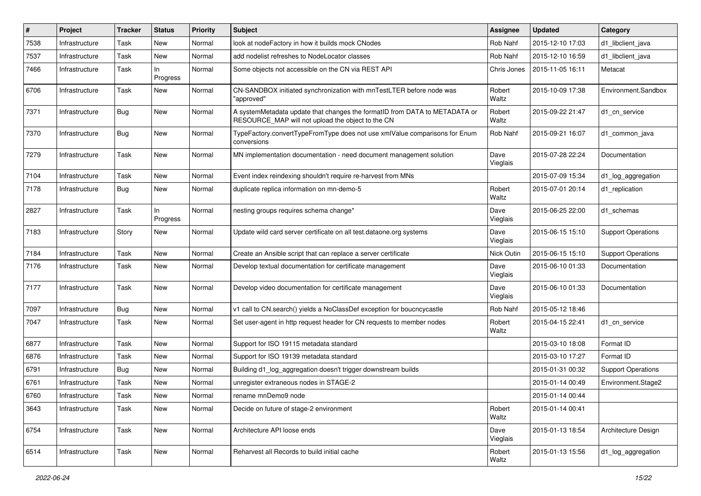| ∦    | <b>Project</b> | <b>Tracker</b> | <b>Status</b>   | <b>Priority</b> | Subject                                                                                                                         | <b>Assignee</b>   | <b>Updated</b>   | Category                  |
|------|----------------|----------------|-----------------|-----------------|---------------------------------------------------------------------------------------------------------------------------------|-------------------|------------------|---------------------------|
| 7538 | Infrastructure | Task           | New             | Normal          | look at nodeFactory in how it builds mock CNodes                                                                                | Rob Nahf          | 2015-12-10 17:03 | d1 libclient java         |
| 7537 | Infrastructure | Task           | <b>New</b>      | Normal          | add nodelist refreshes to NodeLocator classes                                                                                   | Rob Nahf          | 2015-12-10 16:59 | d1_libclient_java         |
| 7466 | Infrastructure | Task           | In<br>Progress  | Normal          | Some objects not accessible on the CN via REST API                                                                              | Chris Jones       | 2015-11-05 16:11 | Metacat                   |
| 6706 | Infrastructure | Task           | New             | Normal          | CN-SANDBOX initiated synchronization with mnTestLTER before node was<br>"approved"                                              | Robert<br>Waltz   | 2015-10-09 17:38 | Environment.Sandbox       |
| 7371 | Infrastructure | <b>Bug</b>     | New             | Normal          | A systemMetadata update that changes the formatID from DATA to METADATA or<br>RESOURCE_MAP will not upload the object to the CN | Robert<br>Waltz   | 2015-09-22 21:47 | d1 cn service             |
| 7370 | Infrastructure | Bug            | New             | Normal          | TypeFactory.convertTypeFromType does not use xmlValue comparisons for Enum<br>conversions                                       | Rob Nahf          | 2015-09-21 16:07 | d1_common_java            |
| 7279 | Infrastructure | Task           | New             | Normal          | MN implementation documentation - need document management solution                                                             | Dave<br>Vieglais  | 2015-07-28 22:24 | Documentation             |
| 7104 | Infrastructure | Task           | <b>New</b>      | Normal          | Event index reindexing shouldn't require re-harvest from MNs                                                                    |                   | 2015-07-09 15:34 | d1_log_aggregation        |
| 7178 | Infrastructure | <b>Bug</b>     | New             | Normal          | duplicate replica information on mn-demo-5                                                                                      | Robert<br>Waltz   | 2015-07-01 20:14 | d1_replication            |
| 2827 | Infrastructure | Task           | In.<br>Progress | Normal          | nesting groups requires schema change*                                                                                          | Dave<br>Vieglais  | 2015-06-25 22:00 | d1 schemas                |
| 7183 | Infrastructure | Story          | New             | Normal          | Update wild card server certificate on all test.dataone.org systems                                                             | Dave<br>Vieglais  | 2015-06-15 15:10 | <b>Support Operations</b> |
| 7184 | Infrastructure | Task           | New             | Normal          | Create an Ansible script that can replace a server certificate                                                                  | <b>Nick Outin</b> | 2015-06-15 15:10 | <b>Support Operations</b> |
| 7176 | Infrastructure | Task           | <b>New</b>      | Normal          | Develop textual documentation for certificate management                                                                        | Dave<br>Vieglais  | 2015-06-10 01:33 | Documentation             |
| 7177 | Infrastructure | Task           | New             | Normal          | Develop video documentation for certificate management                                                                          | Dave<br>Vieglais  | 2015-06-10 01:33 | Documentation             |
| 7097 | Infrastructure | <b>Bug</b>     | New             | Normal          | v1 call to CN.search() yields a NoClassDef exception for boucncycastle                                                          | Rob Nahf          | 2015-05-12 18:46 |                           |
| 7047 | Infrastructure | Task           | New             | Normal          | Set user-agent in http request header for CN requests to member nodes                                                           | Robert<br>Waltz   | 2015-04-15 22:41 | d1 cn service             |
| 6877 | Infrastructure | Task           | New             | Normal          | Support for ISO 19115 metadata standard                                                                                         |                   | 2015-03-10 18:08 | Format ID                 |
| 6876 | Infrastructure | Task           | New             | Normal          | Support for ISO 19139 metadata standard                                                                                         |                   | 2015-03-10 17:27 | Format ID                 |
| 6791 | Infrastructure | <b>Bug</b>     | New             | Normal          | Building d1_log_aggregation doesn't trigger downstream builds                                                                   |                   | 2015-01-31 00:32 | <b>Support Operations</b> |
| 6761 | Infrastructure | Task           | New             | Normal          | unregister extraneous nodes in STAGE-2                                                                                          |                   | 2015-01-14 00:49 | Environment.Stage2        |
| 6760 | Infrastructure | Task           | New             | Normal          | rename mnDemo9 node                                                                                                             |                   | 2015-01-14 00:44 |                           |
| 3643 | Infrastructure | Task           | New             | Normal          | Decide on future of stage-2 environment                                                                                         | Robert<br>Waltz   | 2015-01-14 00:41 |                           |
| 6754 | Infrastructure | Task           | New             | Normal          | Architecture API loose ends                                                                                                     | Dave<br>Vieglais  | 2015-01-13 18:54 | Architecture Design       |
| 6514 | Infrastructure | Task           | New             | Normal          | Reharvest all Records to build initial cache                                                                                    | Robert<br>Waltz   | 2015-01-13 15:56 | d1_log_aggregation        |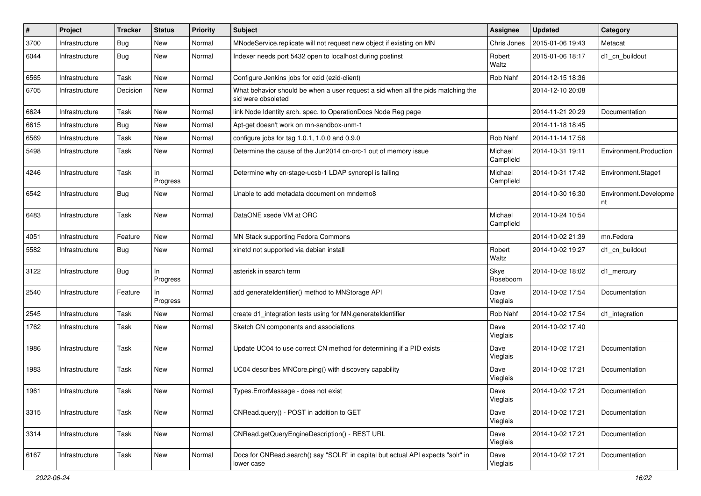| #    | Project        | <b>Tracker</b> | <b>Status</b>   | <b>Priority</b> | Subject                                                                                                | <b>Assignee</b>      | <b>Updated</b>   | Category                    |
|------|----------------|----------------|-----------------|-----------------|--------------------------------------------------------------------------------------------------------|----------------------|------------------|-----------------------------|
| 3700 | Infrastructure | <b>Bug</b>     | New             | Normal          | MNodeService.replicate will not request new object if existing on MN                                   | Chris Jones          | 2015-01-06 19:43 | Metacat                     |
| 6044 | Infrastructure | <b>Bug</b>     | New             | Normal          | Indexer needs port 5432 open to localhost during postinst                                              | Robert<br>Waltz      | 2015-01-06 18:17 | d1 cn buildout              |
| 6565 | Infrastructure | Task           | New             | Normal          | Configure Jenkins jobs for ezid (ezid-client)                                                          | Rob Nahf             | 2014-12-15 18:36 |                             |
| 6705 | Infrastructure | Decision       | New             | Normal          | What behavior should be when a user request a sid when all the pids matching the<br>sid were obsoleted |                      | 2014-12-10 20:08 |                             |
| 6624 | Infrastructure | Task           | New             | Normal          | link Node Identity arch. spec. to OperationDocs Node Reg page                                          |                      | 2014-11-21 20:29 | Documentation               |
| 6615 | Infrastructure | <b>Bug</b>     | <b>New</b>      | Normal          | Apt-get doesn't work on mn-sandbox-unm-1                                                               |                      | 2014-11-18 18:45 |                             |
| 6569 | Infrastructure | Task           | New             | Normal          | configure jobs for tag 1.0.1, 1.0.0 and 0.9.0                                                          | Rob Nahf             | 2014-11-14 17:56 |                             |
| 5498 | Infrastructure | Task           | New             | Normal          | Determine the cause of the Jun2014 cn-orc-1 out of memory issue                                        | Michael<br>Campfield | 2014-10-31 19:11 | Environment.Production      |
| 4246 | Infrastructure | Task           | In<br>Progress  | Normal          | Determine why cn-stage-ucsb-1 LDAP syncrepl is failing                                                 | Michael<br>Campfield | 2014-10-31 17:42 | Environment.Stage1          |
| 6542 | Infrastructure | Bug            | <b>New</b>      | Normal          | Unable to add metadata document on mndemo8                                                             |                      | 2014-10-30 16:30 | Environment.Developme<br>nt |
| 6483 | Infrastructure | Task           | <b>New</b>      | Normal          | DataONE xsede VM at ORC                                                                                | Michael<br>Campfield | 2014-10-24 10:54 |                             |
| 4051 | Infrastructure | Feature        | <b>New</b>      | Normal          | MN Stack supporting Fedora Commons                                                                     |                      | 2014-10-02 21:39 | mn.Fedora                   |
| 5582 | Infrastructure | <b>Bug</b>     | New             | Normal          | xinetd not supported via debian install                                                                | Robert<br>Waltz      | 2014-10-02 19:27 | d1 cn buildout              |
| 3122 | Infrastructure | <b>Bug</b>     | ln.<br>Progress | Normal          | asterisk in search term                                                                                | Skye<br>Roseboom     | 2014-10-02 18:02 | d1 mercury                  |
| 2540 | Infrastructure | Feature        | In<br>Progress  | Normal          | add generateIdentifier() method to MNStorage API                                                       | Dave<br>Vieglais     | 2014-10-02 17:54 | Documentation               |
| 2545 | Infrastructure | Task           | New             | Normal          | create d1_integration tests using for MN.generateIdentifier                                            | Rob Nahf             | 2014-10-02 17:54 | d1_integration              |
| 1762 | Infrastructure | Task           | New             | Normal          | Sketch CN components and associations                                                                  | Dave<br>Vieglais     | 2014-10-02 17:40 |                             |
| 1986 | Infrastructure | Task           | New             | Normal          | Update UC04 to use correct CN method for determining if a PID exists                                   | Dave<br>Vieglais     | 2014-10-02 17:21 | Documentation               |
| 1983 | Infrastructure | Task           | New             | Normal          | UC04 describes MNCore.ping() with discovery capability                                                 | Dave<br>Vieglais     | 2014-10-02 17:21 | Documentation               |
| 1961 | Infrastructure | Task           | New             | Normal          | Types.ErrorMessage - does not exist                                                                    | Dave<br>Vieglais     | 2014-10-02 17:21 | Documentation               |
| 3315 | Infrastructure | Task           | New             | Normal          | CNRead.query() - POST in addition to GET                                                               | Dave<br>Vieglais     | 2014-10-02 17:21 | Documentation               |
| 3314 | Infrastructure | Task           | New             | Normal          | CNRead.getQueryEngineDescription() - REST URL                                                          | Dave<br>Vieglais     | 2014-10-02 17:21 | Documentation               |
| 6167 | Infrastructure | Task           | New             | Normal          | Docs for CNRead.search() say "SOLR" in capital but actual API expects "solr" in<br>lower case          | Dave<br>Vieglais     | 2014-10-02 17:21 | Documentation               |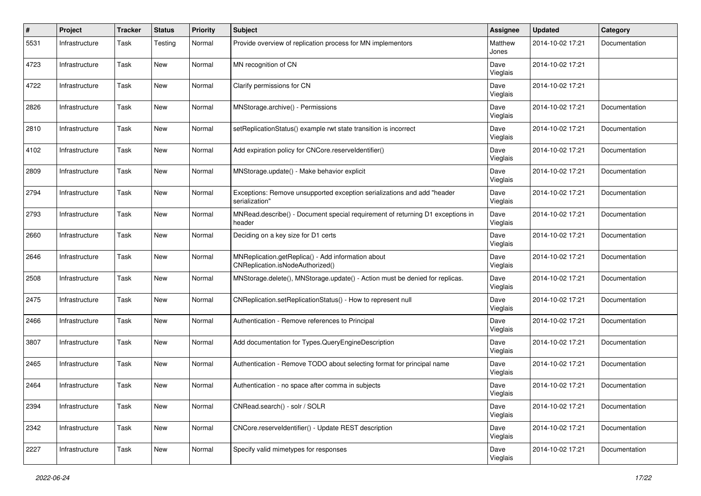| $\pmb{\#}$ | Project        | <b>Tracker</b> | <b>Status</b> | <b>Priority</b> | <b>Subject</b>                                                                            | <b>Assignee</b>  | <b>Updated</b>   | Category      |
|------------|----------------|----------------|---------------|-----------------|-------------------------------------------------------------------------------------------|------------------|------------------|---------------|
| 5531       | Infrastructure | Task           | Testing       | Normal          | Provide overview of replication process for MN implementors                               | Matthew<br>Jones | 2014-10-02 17:21 | Documentation |
| 4723       | Infrastructure | Task           | New           | Normal          | MN recognition of CN                                                                      | Dave<br>Vieglais | 2014-10-02 17:21 |               |
| 4722       | Infrastructure | <b>Task</b>    | New           | Normal          | Clarify permissions for CN                                                                | Dave<br>Vieglais | 2014-10-02 17:21 |               |
| 2826       | Infrastructure | Task           | New           | Normal          | MNStorage.archive() - Permissions                                                         | Dave<br>Vieglais | 2014-10-02 17:21 | Documentation |
| 2810       | Infrastructure | Task           | New           | Normal          | setReplicationStatus() example rwt state transition is incorrect                          | Dave<br>Vieglais | 2014-10-02 17:21 | Documentation |
| 4102       | Infrastructure | Task           | New           | Normal          | Add expiration policy for CNCore.reserveldentifier()                                      | Dave<br>Vieglais | 2014-10-02 17:21 | Documentation |
| 2809       | Infrastructure | Task           | New           | Normal          | MNStorage.update() - Make behavior explicit                                               | Dave<br>Vieglais | 2014-10-02 17:21 | Documentation |
| 2794       | Infrastructure | Task           | New           | Normal          | Exceptions: Remove unsupported exception serializations and add "header<br>serialization" | Dave<br>Vieglais | 2014-10-02 17:21 | Documentation |
| 2793       | Infrastructure | Task           | New           | Normal          | MNRead.describe() - Document special requirement of returning D1 exceptions in<br>header  | Dave<br>Vieglais | 2014-10-02 17:21 | Documentation |
| 2660       | Infrastructure | <b>Task</b>    | New           | Normal          | Deciding on a key size for D1 certs                                                       | Dave<br>Vieglais | 2014-10-02 17:21 | Documentation |
| 2646       | Infrastructure | <b>Task</b>    | <b>New</b>    | Normal          | MNReplication.getReplica() - Add information about<br>CNReplication.isNodeAuthorized()    | Dave<br>Vieglais | 2014-10-02 17:21 | Documentation |
| 2508       | Infrastructure | Task           | New           | Normal          | MNStorage.delete(), MNStorage.update() - Action must be denied for replicas.              | Dave<br>Vieglais | 2014-10-02 17:21 | Documentation |
| 2475       | Infrastructure | Task           | New           | Normal          | CNReplication.setReplicationStatus() - How to represent null                              | Dave<br>Vieglais | 2014-10-02 17:21 | Documentation |
| 2466       | Infrastructure | Task           | New           | Normal          | Authentication - Remove references to Principal                                           | Dave<br>Vieglais | 2014-10-02 17:21 | Documentation |
| 3807       | Infrastructure | Task           | New           | Normal          | Add documentation for Types.QueryEngineDescription                                        | Dave<br>Vieglais | 2014-10-02 17:21 | Documentation |
| 2465       | Infrastructure | Task           | New           | Normal          | Authentication - Remove TODO about selecting format for principal name                    | Dave<br>Vieglais | 2014-10-02 17:21 | Documentation |
| 2464       | Infrastructure | <b>Task</b>    | New           | Normal          | Authentication - no space after comma in subjects                                         | Dave<br>Vieglais | 2014-10-02 17:21 | Documentation |
| 2394       | Infrastructure | Task           | New           | Normal          | CNRead.search() - solr / SOLR                                                             | Dave<br>Vieglais | 2014-10-02 17:21 | Documentation |
| 2342       | Infrastructure | Task           | New           | Normal          | CNCore.reserveldentifier() - Update REST description                                      | Dave<br>Vieglais | 2014-10-02 17:21 | Documentation |
| 2227       | Infrastructure | Task           | New           | Normal          | Specify valid mimetypes for responses                                                     | Dave<br>Vieglais | 2014-10-02 17:21 | Documentation |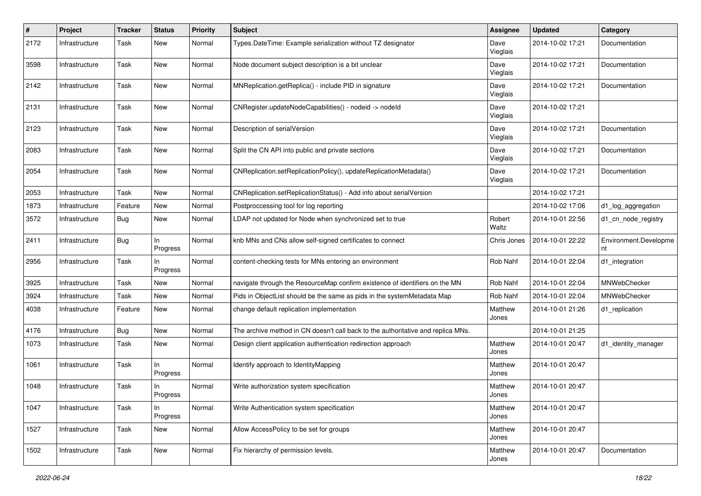| $\pmb{\#}$ | Project        | <b>Tracker</b> | <b>Status</b>   | <b>Priority</b> | <b>Subject</b>                                                                   | <b>Assignee</b>  | <b>Updated</b>   | Category                    |
|------------|----------------|----------------|-----------------|-----------------|----------------------------------------------------------------------------------|------------------|------------------|-----------------------------|
| 2172       | Infrastructure | Task           | New             | Normal          | Types.DateTime: Example serialization without TZ designator                      | Dave<br>Vieglais | 2014-10-02 17:21 | Documentation               |
| 3598       | Infrastructure | Task           | New             | Normal          | Node document subject description is a bit unclear                               | Dave<br>Vieglais | 2014-10-02 17:21 | Documentation               |
| 2142       | Infrastructure | Task           | <b>New</b>      | Normal          | MNReplication.getReplica() - include PID in signature                            | Dave<br>Vieglais | 2014-10-02 17:21 | Documentation               |
| 2131       | Infrastructure | Task           | New             | Normal          | CNRegister.updateNodeCapabilities() - nodeid -> nodeld                           | Dave<br>Vieglais | 2014-10-02 17:21 |                             |
| 2123       | Infrastructure | Task           | New             | Normal          | Description of serialVersion                                                     | Dave<br>Vieglais | 2014-10-02 17:21 | Documentation               |
| 2083       | Infrastructure | Task           | New             | Normal          | Split the CN API into public and private sections                                | Dave<br>Vieglais | 2014-10-02 17:21 | Documentation               |
| 2054       | Infrastructure | Task           | New             | Normal          | CNReplication.setReplicationPolicy(), updateReplicationMetadata()                | Dave<br>Vieglais | 2014-10-02 17:21 | Documentation               |
| 2053       | Infrastructure | Task           | New             | Normal          | CNReplication.setReplicationStatus() - Add info about serialVersion              |                  | 2014-10-02 17:21 |                             |
| 1873       | Infrastructure | Feature        | <b>New</b>      | Normal          | Postproccessing tool for log reporting                                           |                  | 2014-10-02 17:06 | d1_log_aggregation          |
| 3572       | Infrastructure | <b>Bug</b>     | New             | Normal          | LDAP not updated for Node when synchronized set to true                          | Robert<br>Waltz  | 2014-10-01 22:56 | d1_cn_node_registry         |
| 2411       | Infrastructure | <b>Bug</b>     | In<br>Progress  | Normal          | knb MNs and CNs allow self-signed certificates to connect                        | Chris Jones      | 2014-10-01 22:22 | Environment.Developme<br>nt |
| 2956       | Infrastructure | Task           | In<br>Progress  | Normal          | content-checking tests for MNs entering an environment                           | Rob Nahf         | 2014-10-01 22:04 | d1_integration              |
| 3925       | Infrastructure | Task           | <b>New</b>      | Normal          | navigate through the ResourceMap confirm existence of identifiers on the MN      | Rob Nahf         | 2014-10-01 22:04 | MNWebChecker                |
| 3924       | Infrastructure | Task           | New             | Normal          | Pids in ObjectList should be the same as pids in the systemMetadata Map          | Rob Nahf         | 2014-10-01 22:04 | MNWebChecker                |
| 4038       | Infrastructure | Feature        | New             | Normal          | change default replication implementation                                        | Matthew<br>Jones | 2014-10-01 21:26 | d1_replication              |
| 4176       | Infrastructure | <b>Bug</b>     | <b>New</b>      | Normal          | The archive method in CN doesn't call back to the authoritative and replica MNs. |                  | 2014-10-01 21:25 |                             |
| 1073       | Infrastructure | Task           | New             | Normal          | Design client application authentication redirection approach                    | Matthew<br>Jones | 2014-10-01 20:47 | d1_identity_manager         |
| 1061       | Infrastructure | Task           | In<br>Progress  | Normal          | Identify approach to Identity Mapping                                            | Matthew<br>Jones | 2014-10-01 20:47 |                             |
| 1048       | Infrastructure | Task           | ln.<br>Progress | Normal          | Write authorization system specification                                         | Matthew<br>Jones | 2014-10-01 20:47 |                             |
| 1047       | Infrastructure | Task           | In<br>Progress  | Normal          | Write Authentication system specification                                        | Matthew<br>Jones | 2014-10-01 20:47 |                             |
| 1527       | Infrastructure | Task           | New             | Normal          | Allow AccessPolicy to be set for groups                                          | Matthew<br>Jones | 2014-10-01 20:47 |                             |
| 1502       | Infrastructure | Task           | New             | Normal          | Fix hierarchy of permission levels.                                              | Matthew<br>Jones | 2014-10-01 20:47 | Documentation               |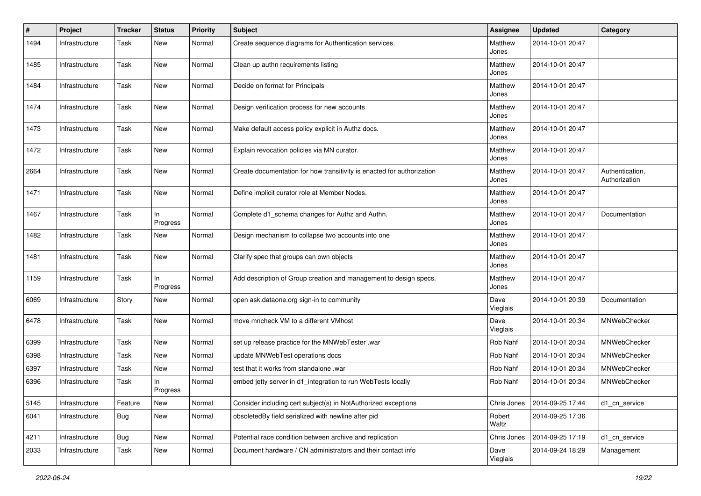| $\pmb{\#}$ | Project        | <b>Tracker</b> | <b>Status</b>   | <b>Priority</b> | <b>Subject</b>                                                         | <b>Assignee</b>  | <b>Updated</b>   | Category                         |
|------------|----------------|----------------|-----------------|-----------------|------------------------------------------------------------------------|------------------|------------------|----------------------------------|
| 1494       | Infrastructure | Task           | New             | Normal          | Create sequence diagrams for Authentication services.                  | Matthew<br>Jones | 2014-10-01 20:47 |                                  |
| 1485       | Infrastructure | Task           | New             | Normal          | Clean up authn requirements listing                                    | Matthew<br>Jones | 2014-10-01 20:47 |                                  |
| 1484       | Infrastructure | Task           | New             | Normal          | Decide on format for Principals                                        | Matthew<br>Jones | 2014-10-01 20:47 |                                  |
| 1474       | Infrastructure | Task           | <b>New</b>      | Normal          | Design verification process for new accounts                           | Matthew<br>Jones | 2014-10-01 20:47 |                                  |
| 1473       | Infrastructure | Task           | New             | Normal          | Make default access policy explicit in Authz docs.                     | Matthew<br>Jones | 2014-10-01 20:47 |                                  |
| 1472       | Infrastructure | Task           | New             | Normal          | Explain revocation policies via MN curator.                            | Matthew<br>Jones | 2014-10-01 20:47 |                                  |
| 2664       | Infrastructure | Task           | New             | Normal          | Create documentation for how transitivity is enacted for authorization | Matthew<br>Jones | 2014-10-01 20:47 | Authentication,<br>Authorization |
| 1471       | Infrastructure | Task           | New             | Normal          | Define implicit curator role at Member Nodes.                          | Matthew<br>Jones | 2014-10-01 20:47 |                                  |
| 1467       | Infrastructure | Task           | In<br>Progress  | Normal          | Complete d1_schema changes for Authz and Authn.                        | Matthew<br>Jones | 2014-10-01 20:47 | Documentation                    |
| 1482       | Infrastructure | Task           | <b>New</b>      | Normal          | Design mechanism to collapse two accounts into one                     | Matthew<br>Jones | 2014-10-01 20:47 |                                  |
| 1481       | Infrastructure | Task           | <b>New</b>      | Normal          | Clarify spec that groups can own objects                               | Matthew<br>Jones | 2014-10-01 20:47 |                                  |
| 1159       | Infrastructure | Task           | ln.<br>Progress | Normal          | Add description of Group creation and management to design specs.      | Matthew<br>Jones | 2014-10-01 20:47 |                                  |
| 6069       | Infrastructure | Story          | New             | Normal          | open ask.dataone.org sign-in to community                              | Dave<br>Vieglais | 2014-10-01 20:39 | Documentation                    |
| 6478       | Infrastructure | Task           | New             | Normal          | move mncheck VM to a different VMhost                                  | Dave<br>Vieglais | 2014-10-01 20:34 | MNWebChecker                     |
| 6399       | Infrastructure | Task           | New             | Normal          | set up release practice for the MNWebTester .war                       | Rob Nahf         | 2014-10-01 20:34 | MNWebChecker                     |
| 6398       | Infrastructure | Task           | <b>New</b>      | Normal          | update MNWebTest operations docs                                       | Rob Nahf         | 2014-10-01 20:34 | MNWebChecker                     |
| 6397       | Infrastructure | Task           | New             | Normal          | test that it works from standalone .war                                | Rob Nahf         | 2014-10-01 20:34 | MNWebChecker                     |
| 6396       | Infrastructure | Task           | In<br>Progress  | Normal          | embed jetty server in d1_integration to run WebTests locally           | Rob Nahf         | 2014-10-01 20:34 | MNWebChecker                     |
| 5145       | Infrastructure | Feature        | New             | Normal          | Consider including cert subject(s) in NotAuthorized exceptions         | Chris Jones      | 2014-09-25 17:44 | d1_cn_service                    |
| 6041       | Infrastructure | Bug            | New             | Normal          | obsoletedBy field serialized with newline after pid                    | Robert<br>Waltz  | 2014-09-25 17:36 |                                  |
| 4211       | Infrastructure | Bug            | New             | Normal          | Potential race condition between archive and replication               | Chris Jones      | 2014-09-25 17:19 | d1 cn service                    |
| 2033       | Infrastructure | Task           | New             | Normal          | Document hardware / CN administrators and their contact info           | Dave<br>Vieglais | 2014-09-24 18:29 | Management                       |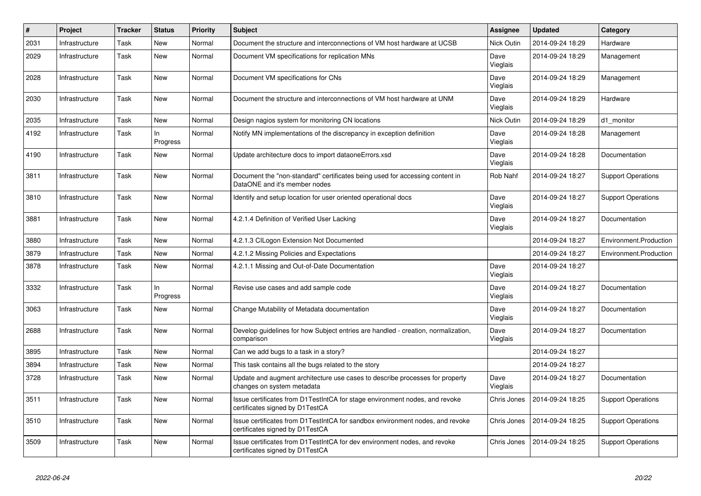| #    | Project        | <b>Tracker</b> | <b>Status</b>   | <b>Priority</b> | <b>Subject</b>                                                                                                   | Assignee         | <b>Updated</b>   | Category                  |
|------|----------------|----------------|-----------------|-----------------|------------------------------------------------------------------------------------------------------------------|------------------|------------------|---------------------------|
| 2031 | Infrastructure | Task           | <b>New</b>      | Normal          | Document the structure and interconnections of VM host hardware at UCSB                                          | Nick Outin       | 2014-09-24 18:29 | Hardware                  |
| 2029 | Infrastructure | Task           | New             | Normal          | Document VM specifications for replication MNs                                                                   | Dave<br>Vieglais | 2014-09-24 18:29 | Management                |
| 2028 | Infrastructure | Task           | New             | Normal          | Document VM specifications for CNs                                                                               | Dave<br>Vieglais | 2014-09-24 18:29 | Management                |
| 2030 | Infrastructure | Task           | <b>New</b>      | Normal          | Document the structure and interconnections of VM host hardware at UNM                                           | Dave<br>Vieglais | 2014-09-24 18:29 | Hardware                  |
| 2035 | Infrastructure | Task           | <b>New</b>      | Normal          | Design nagios system for monitoring CN locations                                                                 | Nick Outin       | 2014-09-24 18:29 | d1_monitor                |
| 4192 | Infrastructure | Task           | In.<br>Progress | Normal          | Notify MN implementations of the discrepancy in exception definition                                             | Dave<br>Vieglais | 2014-09-24 18:28 | Management                |
| 4190 | Infrastructure | Task           | New             | Normal          | Update architecture docs to import dataoneErrors.xsd                                                             | Dave<br>Vieglais | 2014-09-24 18:28 | Documentation             |
| 3811 | Infrastructure | Task           | <b>New</b>      | Normal          | Document the "non-standard" certificates being used for accessing content in<br>DataONE and it's member nodes    | Rob Nahf         | 2014-09-24 18:27 | <b>Support Operations</b> |
| 3810 | Infrastructure | Task           | New             | Normal          | Identify and setup location for user oriented operational docs                                                   | Dave<br>Vieglais | 2014-09-24 18:27 | <b>Support Operations</b> |
| 3881 | Infrastructure | Task           | <b>New</b>      | Normal          | 4.2.1.4 Definition of Verified User Lacking                                                                      | Dave<br>Vieglais | 2014-09-24 18:27 | Documentation             |
| 3880 | Infrastructure | Task           | New             | Normal          | 4.2.1.3 CILogon Extension Not Documented                                                                         |                  | 2014-09-24 18:27 | Environment.Production    |
| 3879 | Infrastructure | Task           | <b>New</b>      | Normal          | 4.2.1.2 Missing Policies and Expectations                                                                        |                  | 2014-09-24 18:27 | Environment.Production    |
| 3878 | Infrastructure | Task           | <b>New</b>      | Normal          | 4.2.1.1 Missing and Out-of-Date Documentation                                                                    | Dave<br>Vieglais | 2014-09-24 18:27 |                           |
| 3332 | Infrastructure | Task           | In.<br>Progress | Normal          | Revise use cases and add sample code                                                                             | Dave<br>Vieglais | 2014-09-24 18:27 | Documentation             |
| 3063 | Infrastructure | Task           | <b>New</b>      | Normal          | Change Mutability of Metadata documentation                                                                      | Dave<br>Vieglais | 2014-09-24 18:27 | Documentation             |
| 2688 | Infrastructure | Task           | <b>New</b>      | Normal          | Develop guidelines for how Subject entries are handled - creation, normalization,<br>comparison                  | Dave<br>Vieglais | 2014-09-24 18:27 | Documentation             |
| 3895 | Infrastructure | Task           | <b>New</b>      | Normal          | Can we add bugs to a task in a story?                                                                            |                  | 2014-09-24 18:27 |                           |
| 3894 | Infrastructure | Task           | New             | Normal          | This task contains all the bugs related to the story                                                             |                  | 2014-09-24 18:27 |                           |
| 3728 | Infrastructure | Task           | <b>New</b>      | Normal          | Update and augment architecture use cases to describe processes for property<br>changes on system metadata       | Dave<br>Vieglais | 2014-09-24 18:27 | Documentation             |
| 3511 | Infrastructure | Task           | New             | Normal          | Issue certificates from D1TestIntCA for stage environment nodes, and revoke<br>certificates signed by D1TestCA   | Chris Jones      | 2014-09-24 18:25 | <b>Support Operations</b> |
| 3510 | Infrastructure | Task           | New             | Normal          | Issue certificates from D1TestIntCA for sandbox environment nodes, and revoke<br>certificates signed by D1TestCA | Chris Jones      | 2014-09-24 18:25 | <b>Support Operations</b> |
| 3509 | Infrastructure | Task           | <b>New</b>      | Normal          | Issue certificates from D1TestIntCA for dev environment nodes, and revoke<br>certificates signed by D1TestCA     | Chris Jones      | 2014-09-24 18:25 | <b>Support Operations</b> |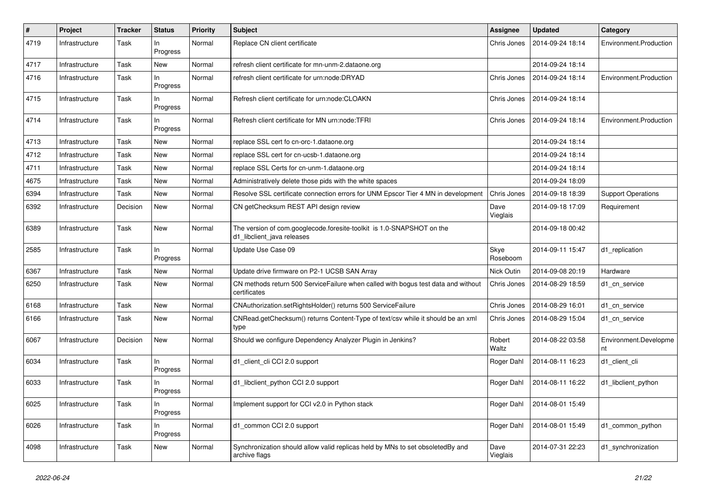| #    | Project        | <b>Tracker</b> | <b>Status</b>   | <b>Priority</b> | <b>Subject</b>                                                                                      | <b>Assignee</b>  | <b>Updated</b>   | Category                    |
|------|----------------|----------------|-----------------|-----------------|-----------------------------------------------------------------------------------------------------|------------------|------------------|-----------------------------|
| 4719 | Infrastructure | Task           | In<br>Progress  | Normal          | Replace CN client certificate                                                                       | Chris Jones      | 2014-09-24 18:14 | Environment.Production      |
| 4717 | Infrastructure | Task           | New             | Normal          | refresh client certificate for mn-unm-2.dataone.org                                                 |                  | 2014-09-24 18:14 |                             |
| 4716 | Infrastructure | Task           | In.<br>Progress | Normal          | refresh client certificate for urn:node:DRYAD                                                       | Chris Jones      | 2014-09-24 18:14 | Environment.Production      |
| 4715 | Infrastructure | Task           | In.<br>Progress | Normal          | Refresh client certificate for urn:node:CLOAKN                                                      | Chris Jones      | 2014-09-24 18:14 |                             |
| 4714 | Infrastructure | Task           | In<br>Progress  | Normal          | Refresh client certificate for MN urn:node:TFRI                                                     | Chris Jones      | 2014-09-24 18:14 | Environment.Production      |
| 4713 | Infrastructure | Task           | New             | Normal          | replace SSL cert fo cn-orc-1.dataone.org                                                            |                  | 2014-09-24 18:14 |                             |
| 4712 | Infrastructure | Task           | New             | Normal          | replace SSL cert for cn-ucsb-1.dataone.org                                                          |                  | 2014-09-24 18:14 |                             |
| 4711 | Infrastructure | Task           | New             | Normal          | replace SSL Certs for cn-unm-1.dataone.org                                                          |                  | 2014-09-24 18:14 |                             |
| 4675 | Infrastructure | Task           | <b>New</b>      | Normal          | Administratively delete those pids with the white spaces                                            |                  | 2014-09-24 18:09 |                             |
| 6394 | Infrastructure | Task           | New             | Normal          | Resolve SSL certificate connection errors for UNM Epscor Tier 4 MN in development                   | Chris Jones      | 2014-09-18 18:39 | <b>Support Operations</b>   |
| 6392 | Infrastructure | Decision       | New             | Normal          | CN getChecksum REST API design review                                                               | Dave<br>Vieglais | 2014-09-18 17:09 | Requirement                 |
| 6389 | Infrastructure | Task           | New             | Normal          | The version of com.googlecode.foresite-toolkit is 1.0-SNAPSHOT on the<br>d1_libclient_java releases |                  | 2014-09-18 00:42 |                             |
| 2585 | Infrastructure | Task           | In.<br>Progress | Normal          | Update Use Case 09                                                                                  | Skye<br>Roseboom | 2014-09-11 15:47 | d1_replication              |
| 6367 | Infrastructure | Task           | New             | Normal          | Update drive firmware on P2-1 UCSB SAN Array                                                        | Nick Outin       | 2014-09-08 20:19 | Hardware                    |
| 6250 | Infrastructure | Task           | New             | Normal          | CN methods return 500 ServiceFailure when called with bogus test data and without<br>certificates   | Chris Jones      | 2014-08-29 18:59 | d1 cn service               |
| 6168 | Infrastructure | Task           | New             | Normal          | CNAuthorization.setRightsHolder() returns 500 ServiceFailure                                        | Chris Jones      | 2014-08-29 16:01 | d1 cn service               |
| 6166 | Infrastructure | Task           | New             | Normal          | CNRead.getChecksum() returns Content-Type of text/csv while it should be an xml<br>type             | Chris Jones      | 2014-08-29 15:04 | d1 cn service               |
| 6067 | Infrastructure | Decision       | New             | Normal          | Should we configure Dependency Analyzer Plugin in Jenkins?                                          | Robert<br>Waltz  | 2014-08-22 03:58 | Environment.Developme<br>nt |
| 6034 | Infrastructure | Task           | In.<br>Progress | Normal          | d1_client_cli CCI 2.0 support                                                                       | Roger Dahl       | 2014-08-11 16:23 | d1 client cli               |
| 6033 | Infrastructure | Task           | In.<br>Progress | Normal          | d1_libclient_python CCI 2.0 support                                                                 | Roger Dahl       | 2014-08-11 16:22 | d1_libclient_python         |
| 6025 | Infrastructure | Task           | In<br>Progress  | Normal          | Implement support for CCI v2.0 in Python stack                                                      | Roger Dahl       | 2014-08-01 15:49 |                             |
| 6026 | Infrastructure | Task           | In<br>Progress  | Normal          | d1_common CCI 2.0 support                                                                           | Roger Dahl       | 2014-08-01 15:49 | d1_common_python            |
| 4098 | Infrastructure | Task           | New             | Normal          | Synchronization should allow valid replicas held by MNs to set obsoletedBy and<br>archive flags     | Dave<br>Vieglais | 2014-07-31 22:23 | d1_synchronization          |